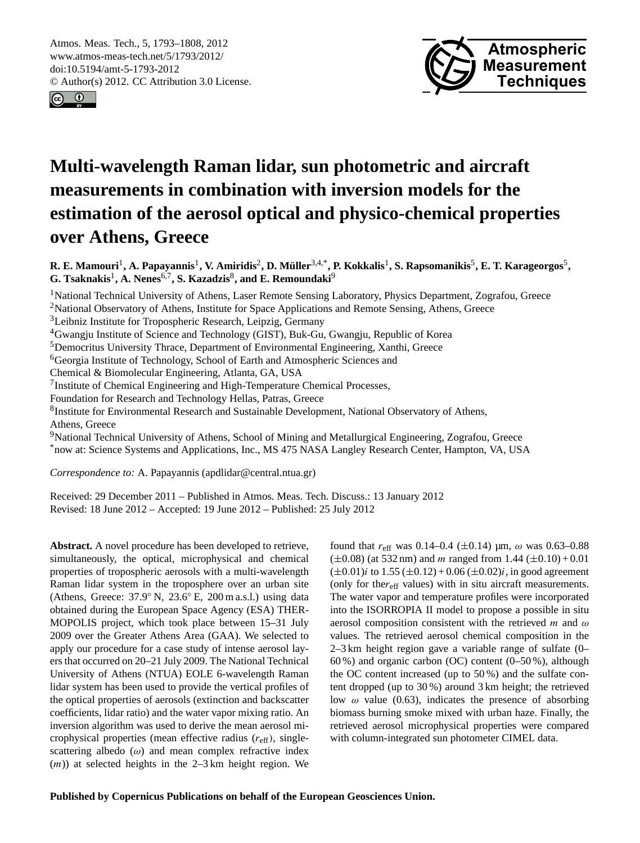<span id="page-0-0"></span>Atmos. Meas. Tech., 5, 1793–1808, 2012 www.atmos-meas-tech.net/5/1793/2012/ doi:10.5194/amt-5-1793-2012 © Author(s) 2012. CC Attribution 3.0 License.





# **Multi-wavelength Raman lidar, sun photometric and aircraft measurements in combination with inversion models for the estimation of the aerosol optical and physico-chemical properties over Athens, Greece**

 $R$ . E. Mamouri<sup>1</sup>, A. Papayannis<sup>1</sup>, V. Amiridis<sup>2</sup>, D. Müller<sup>3,4,\*</sup>, P. Kokkalis<sup>1</sup>, S. Rapsomanikis<sup>5</sup>, E. T. Karageorgos<sup>5</sup>, **G. Tsaknakis**<sup>1</sup> **, A. Nenes**6,7**, S. Kazadzis**<sup>8</sup> **, and E. Remoundaki**<sup>9</sup>

<sup>1</sup>National Technical University of Athens, Laser Remote Sensing Laboratory, Physics Department, Zografou, Greece <sup>2</sup>National Observatory of Athens, Institute for Space Applications and Remote Sensing, Athens, Greece <sup>3</sup>Leibniz Institute for Tropospheric Research, Leipzig, Germany <sup>4</sup>Gwangju Institute of Science and Technology (GIST), Buk-Gu, Gwangju, Republic of Korea <sup>5</sup>Democritus University Thrace, Department of Environmental Engineering, Xanthi, Greece <sup>6</sup>Georgia Institute of Technology, School of Earth and Atmospheric Sciences and Chemical & Biomolecular Engineering, Atlanta, GA, USA <sup>7</sup>Institute of Chemical Engineering and High-Temperature Chemical Processes, Foundation for Research and Technology Hellas, Patras, Greece <sup>8</sup>Institute for Environmental Research and Sustainable Development, National Observatory of Athens, Athens, Greece <sup>9</sup>National Technical University of Athens, School of Mining and Metallurgical Engineering, Zografou, Greece \*now at: Science Systems and Applications, Inc., MS 475 NASA Langley Research Center, Hampton, VA, USA

*Correspondence to:* A. Papayannis (apdlidar@central.ntua.gr)

Received: 29 December 2011 – Published in Atmos. Meas. Tech. Discuss.: 13 January 2012 Revised: 18 June 2012 – Accepted: 19 June 2012 – Published: 25 July 2012

**Abstract.** A novel procedure has been developed to retrieve, simultaneously, the optical, microphysical and chemical properties of tropospheric aerosols with a multi-wavelength Raman lidar system in the troposphere over an urban site (Athens, Greece: 37.9◦ N, 23.6◦ E, 200 m a.s.l.) using data obtained during the European Space Agency (ESA) THER-MOPOLIS project, which took place between 15–31 July 2009 over the Greater Athens Area (GAA). We selected to apply our procedure for a case study of intense aerosol layers that occurred on 20–21 July 2009. The National Technical University of Athens (NTUA) EOLE 6-wavelength Raman lidar system has been used to provide the vertical profiles of the optical properties of aerosols (extinction and backscatter coefficients, lidar ratio) and the water vapor mixing ratio. An inversion algorithm was used to derive the mean aerosol microphysical properties (mean effective radius  $(r_{\text{eff}})$ , singlescattering albedo  $(\omega)$  and mean complex refractive index  $(m)$ ) at selected heights in the 2–3 km height region. We

found that  $r_{\text{eff}}$  was 0.14–0.4 ( $\pm$ 0.14) µm,  $\omega$  was 0.63–0.88  $(\pm 0.08)$  (at 532 nm) and m ranged from 1.44  $(\pm 0.10) + 0.01$  $(\pm 0.01)i$  to  $1.55 (\pm 0.12) + 0.06 (\pm 0.02)i$ , in good agreement (only for the  $r_{\text{eff}}$  values) with in situ aircraft measurements. The water vapor and temperature profiles were incorporated into the ISORROPIA II model to propose a possible in situ aerosol composition consistent with the retrieved m and  $\omega$ values. The retrieved aerosol chemical composition in the 2–3 km height region gave a variable range of sulfate (0– 60 %) and organic carbon (OC) content (0–50 %), although the OC content increased (up to 50 %) and the sulfate content dropped (up to 30 %) around 3 km height; the retrieved low  $\omega$  value (0.63), indicates the presence of absorbing biomass burning smoke mixed with urban haze. Finally, the retrieved aerosol microphysical properties were compared with column-integrated sun photometer CIMEL data.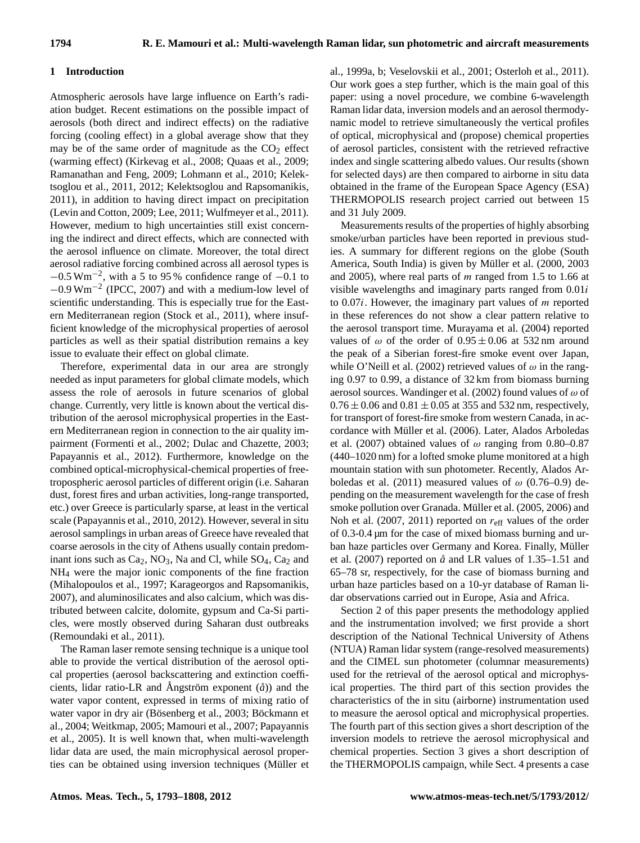## **1 Introduction**

Atmospheric aerosols have large influence on Earth's radiation budget. Recent estimations on the possible impact of aerosols (both direct and indirect effects) on the radiative forcing (cooling effect) in a global average show that they may be of the same order of magnitude as the  $CO<sub>2</sub>$  effect (warming effect) (Kirkevag et al., 2008; Quaas et al., 2009; Ramanathan and Feng, 2009; Lohmann et al., 2010; Kelektsoglou et al., 2011, 2012; Kelektsoglou and Rapsomanikis, 2011), in addition to having direct impact on precipitation (Levin and Cotton, 2009; Lee, 2011; Wulfmeyer et al., 2011). However, medium to high uncertainties still exist concerning the indirect and direct effects, which are connected with the aerosol influence on climate. Moreover, the total direct aerosol radiative forcing combined across all aerosol types is  $-0.5 \text{ Wm}^{-2}$ , with a 5 to 95% confidence range of  $-0.1$  to  $-0.9 \text{ Wm}^{-2}$  (IPCC, 2007) and with a medium-low level of scientific understanding. This is especially true for the Eastern Mediterranean region (Stock et al., 2011), where insufficient knowledge of the microphysical properties of aerosol particles as well as their spatial distribution remains a key issue to evaluate their effect on global climate.

Therefore, experimental data in our area are strongly needed as input parameters for global climate models, which assess the role of aerosols in future scenarios of global change. Currently, very little is known about the vertical distribution of the aerosol microphysical properties in the Eastern Mediterranean region in connection to the air quality impairment (Formenti et al., 2002; Dulac and Chazette, 2003; Papayannis et al., 2012). Furthermore, knowledge on the combined optical-microphysical-chemical properties of freetropospheric aerosol particles of different origin (i.e. Saharan dust, forest fires and urban activities, long-range transported, etc.) over Greece is particularly sparse, at least in the vertical scale (Papayannis et al., 2010, 2012). However, several in situ aerosol samplings in urban areas of Greece have revealed that coarse aerosols in the city of Athens usually contain predominant ions such as  $Ca_2$ ,  $NO_3$ , Na and Cl, while  $SO_4$ ,  $Ca_2$  and NH<sup>4</sup> were the major ionic components of the fine fraction (Mihalopoulos et al., 1997; Karageorgos and Rapsomanikis, 2007), and aluminosilicates and also calcium, which was distributed between calcite, dolomite, gypsum and Ca-Si particles, were mostly observed during Saharan dust outbreaks (Remoundaki et al., 2011).

The Raman laser remote sensing technique is a unique tool able to provide the vertical distribution of the aerosol optical properties (aerosol backscattering and extinction coefficients, lidar ratio-LR and Angström exponent  $(\hat{a})$  and the water vapor content, expressed in terms of mixing ratio of water vapor in dry air (Bösenberg et al., 2003; Böckmann et al., 2004; Weitkmap, 2005; Mamouri et al., 2007; Papayannis et al., 2005). It is well known that, when multi-wavelength lidar data are used, the main microphysical aerosol properties can be obtained using inversion techniques (Müller et al., 1999a, b; Veselovskii et al., 2001; Osterloh et al., 2011). Our work goes a step further, which is the main goal of this paper: using a novel procedure, we combine 6-wavelength Raman lidar data, inversion models and an aerosol thermodynamic model to retrieve simultaneously the vertical profiles of optical, microphysical and (propose) chemical properties of aerosol particles, consistent with the retrieved refractive index and single scattering albedo values. Our results (shown for selected days) are then compared to airborne in situ data obtained in the frame of the European Space Agency (ESA) THERMOPOLIS research project carried out between 15 and 31 July 2009.

Measurements results of the properties of highly absorbing smoke/urban particles have been reported in previous studies. A summary for different regions on the globe (South America, South India) is given by Müller et al. (2000, 2003 and 2005), where real parts of m ranged from 1.5 to 1.66 at visible wavelengths and imaginary parts ranged from 0.01i to  $0.07i$ . However, the imaginary part values of  $m$  reported in these references do not show a clear pattern relative to the aerosol transport time. Murayama et al. (2004) reported values of  $\omega$  of the order of 0.95  $\pm$  0.06 at 532 nm around the peak of a Siberian forest-fire smoke event over Japan, while O'Neill et al. (2002) retrieved values of  $\omega$  in the ranging 0.97 to 0.99, a distance of 32 km from biomass burning aerosol sources. Wandinger et al. (2002) found values of  $\omega$  of  $0.76 \pm 0.06$  and  $0.81 \pm 0.05$  at 355 and 532 nm, respectively, for transport of forest-fire smoke from western Canada, in accordance with Müller et al. (2006). Later, Alados Arboledas et al. (2007) obtained values of  $\omega$  ranging from 0.80–0.87 (440–1020 nm) for a lofted smoke plume monitored at a high mountain station with sun photometer. Recently, Alados Arboledas et al. (2011) measured values of  $\omega$  (0.76–0.9) depending on the measurement wavelength for the case of fresh smoke pollution over Granada. Müller et al. (2005, 2006) and Noh et al.  $(2007, 2011)$  reported on  $r_{\text{eff}}$  values of the order of 0.3-0.4 µm for the case of mixed biomass burning and urban haze particles over Germany and Korea. Finally, Müller et al. (2007) reported on  $\hat{a}$  and LR values of 1.35–1.51 and 65–78 sr, respectively, for the case of biomass burning and urban haze particles based on a 10-yr database of Raman lidar observations carried out in Europe, Asia and Africa.

Section 2 of this paper presents the methodology applied and the instrumentation involved; we first provide a short description of the National Technical University of Athens (NTUA) Raman lidar system (range-resolved measurements) and the CIMEL sun photometer (columnar measurements) used for the retrieval of the aerosol optical and microphysical properties. The third part of this section provides the characteristics of the in situ (airborne) instrumentation used to measure the aerosol optical and microphysical properties. The fourth part of this section gives a short description of the inversion models to retrieve the aerosol microphysical and chemical properties. Section 3 gives a short description of the THERMOPOLIS campaign, while Sect. 4 presents a case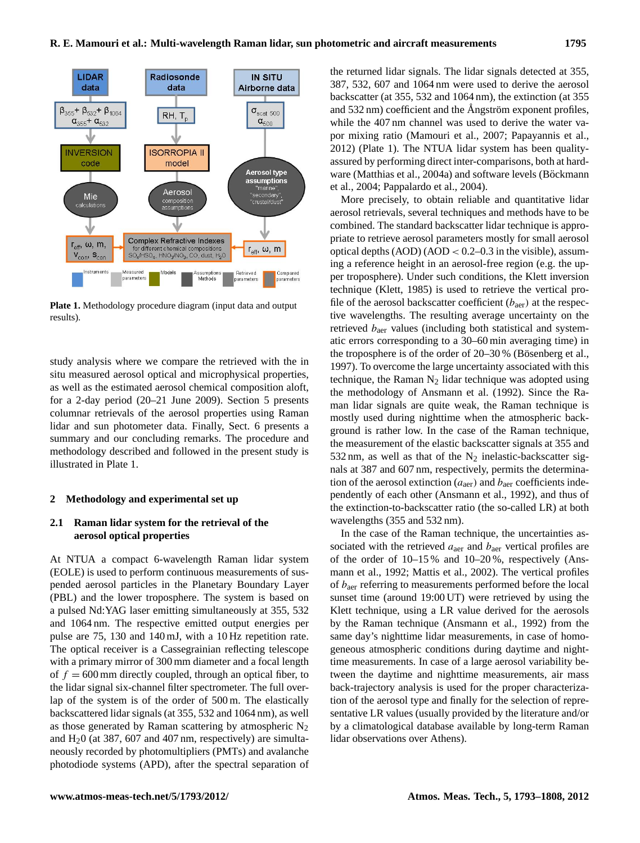

**Plate 1.** Methodology procedure diagram (input data and output results).

study analysis where we compare the retrieved with the in situ measured aerosol optical and microphysical properties, as well as the estimated aerosol chemical composition aloft, for a 2-day period (20–21 June 2009). Section 5 presents columnar retrievals of the aerosol properties using Raman lidar and sun photometer data. Finally, Sect. 6 presents a summary and our concluding remarks. The procedure and methodology described and followed in the present study is illustrated in Plate 1.

#### **2 Methodology and experimental set up**

## **2.1 Raman lidar system for the retrieval of the aerosol optical properties**

At NTUA a compact 6-wavelength Raman lidar system (EOLE) is used to perform continuous measurements of suspended aerosol particles in the Planetary Boundary Layer (PBL) and the lower troposphere. The system is based on a pulsed Nd:YAG laser emitting simultaneously at 355, 532 and 1064 nm. The respective emitted output energies per pulse are 75, 130 and 140 mJ, with a 10 Hz repetition rate. The optical receiver is a Cassegrainian reflecting telescope with a primary mirror of 300 mm diameter and a focal length of  $f = 600$  mm directly coupled, through an optical fiber, to the lidar signal six-channel filter spectrometer. The full overlap of the system is of the order of 500 m. The elastically backscattered lidar signals (at 355, 532 and 1064 nm), as well as those generated by Raman scattering by atmospheric  $N_2$ and  $H<sub>2</sub>0$  (at 387, 607 and 407 nm, respectively) are simultaneously recorded by photomultipliers (PMTs) and avalanche photodiode systems (APD), after the spectral separation of the returned lidar signals. The lidar signals detected at 355, 387, 532, 607 and 1064 nm were used to derive the aerosol backscatter (at 355, 532 and 1064 nm), the extinction (at 355 and  $532 \text{ nm}$ ) coefficient and the Angström exponent profiles, while the 407 nm channel was used to derive the water vapor mixing ratio (Mamouri et al., 2007; Papayannis et al., 2012) (Plate 1). The NTUA lidar system has been qualityassured by performing direct inter-comparisons, both at hardware (Matthias et al., 2004a) and software levels (Böckmann et al., 2004; Pappalardo et al., 2004).

More precisely, to obtain reliable and quantitative lidar aerosol retrievals, several techniques and methods have to be combined. The standard backscatter lidar technique is appropriate to retrieve aerosol parameters mostly for small aerosol optical depths  $(AOD) (AOD < 0.2–0.3$  in the visible), assuming a reference height in an aerosol-free region (e.g. the upper troposphere). Under such conditions, the Klett inversion technique (Klett, 1985) is used to retrieve the vertical profile of the aerosol backscatter coefficient  $(b<sub>aer</sub>)$  at the respective wavelengths. The resulting average uncertainty on the retrieved  $b_{\text{aer}}$  values (including both statistical and systematic errors corresponding to a 30–60 min averaging time) in the troposphere is of the order of  $20-30\%$  (Bösenberg et al., 1997). To overcome the large uncertainty associated with this technique, the Raman  $N_2$  lidar technique was adopted using the methodology of Ansmann et al. (1992). Since the Raman lidar signals are quite weak, the Raman technique is mostly used during nighttime when the atmospheric background is rather low. In the case of the Raman technique, the measurement of the elastic backscatter signals at 355 and 532 nm, as well as that of the  $N_2$  inelastic-backscatter signals at 387 and 607 nm, respectively, permits the determination of the aerosol extinction  $(a<sub>aer</sub>)$  and  $b<sub>aer</sub>$  coefficients independently of each other (Ansmann et al., 1992), and thus of the extinction-to-backscatter ratio (the so-called LR) at both wavelengths (355 and 532 nm).

In the case of the Raman technique, the uncertainties associated with the retrieved  $a_{\text{aer}}$  and  $b_{\text{aer}}$  vertical profiles are of the order of 10–15 % and 10–20 %, respectively (Ansmann et al., 1992; Mattis et al., 2002). The vertical profiles of  $b<sub>a</sub>$ er referring to measurements performed before the local sunset time (around 19:00 UT) were retrieved by using the Klett technique, using a LR value derived for the aerosols by the Raman technique (Ansmann et al., 1992) from the same day's nighttime lidar measurements, in case of homogeneous atmospheric conditions during daytime and nighttime measurements. In case of a large aerosol variability between the daytime and nighttime measurements, air mass back-trajectory analysis is used for the proper characterization of the aerosol type and finally for the selection of representative LR values (usually provided by the literature and/or by a climatological database available by long-term Raman lidar observations over Athens).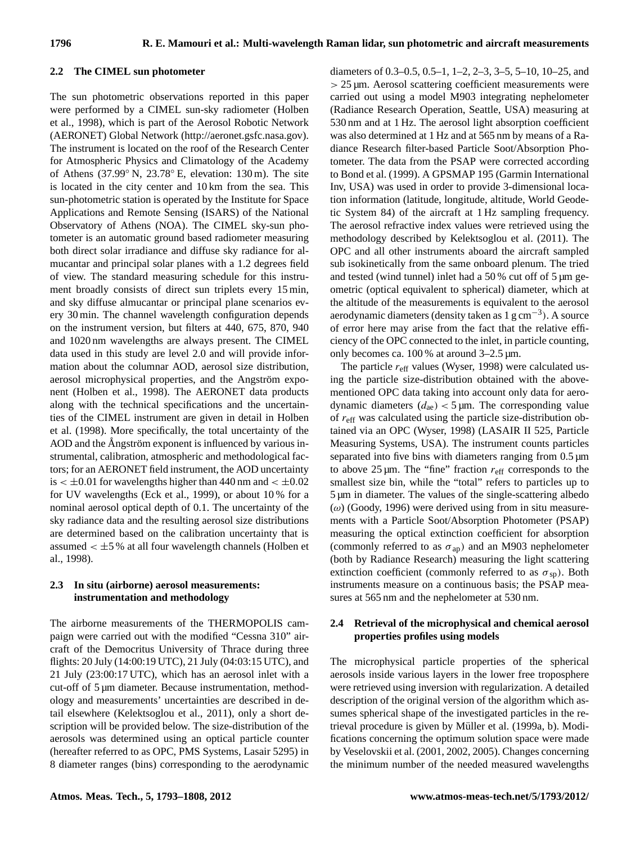## **2.2 The CIMEL sun photometer**

The sun photometric observations reported in this paper were performed by a CIMEL sun-sky radiometer (Holben et al., 1998), which is part of the Aerosol Robotic Network (AERONET) Global Network [\(http://aeronet.gsfc.nasa.gov\)](http://aeronet.gsfc.nasa.gov). The instrument is located on the roof of the Research Center for Atmospheric Physics and Climatology of the Academy of Athens (37.99◦ N, 23.78◦ E, elevation: 130 m). The site is located in the city center and 10 km from the sea. This sun-photometric station is operated by the Institute for Space Applications and Remote Sensing (ISARS) of the National Observatory of Athens (NOA). The CIMEL sky-sun photometer is an automatic ground based radiometer measuring both direct solar irradiance and diffuse sky radiance for almucantar and principal solar planes with a 1.2 degrees field of view. The standard measuring schedule for this instrument broadly consists of direct sun triplets every 15 min, and sky diffuse almucantar or principal plane scenarios every 30 min. The channel wavelength configuration depends on the instrument version, but filters at 440, 675, 870, 940 and 1020 nm wavelengths are always present. The CIMEL data used in this study are level 2.0 and will provide information about the columnar AOD, aerosol size distribution, aerosol microphysical properties, and the Angström exponent (Holben et al., 1998). The AERONET data products along with the technical specifications and the uncertainties of the CIMEL instrument are given in detail in Holben et al. (1998). More specifically, the total uncertainty of the AOD and the Angström exponent is influenced by various instrumental, calibration, atmospheric and methodological factors; for an AERONET field instrument, the AOD uncertainty is  $\lt \pm 0.01$  for wavelengths higher than 440 nm and  $\lt \pm 0.02$ for UV wavelengths (Eck et al., 1999), or about 10 % for a nominal aerosol optical depth of 0.1. The uncertainty of the sky radiance data and the resulting aerosol size distributions are determined based on the calibration uncertainty that is assumed  $\lt \pm 5$ % at all four wavelength channels (Holben et al., 1998).

## **2.3 In situ (airborne) aerosol measurements: instrumentation and methodology**

The airborne measurements of the THERMOPOLIS campaign were carried out with the modified "Cessna 310" aircraft of the Democritus University of Thrace during three flights: 20 July (14:00:19 UTC), 21 July (04:03:15 UTC), and 21 July (23:00:17 UTC), which has an aerosol inlet with a cut-off of 5 µm diameter. Because instrumentation, methodology and measurements' uncertainties are described in detail elsewhere (Kelektsoglou et al., 2011), only a short description will be provided below. The size-distribution of the aerosols was determined using an optical particle counter (hereafter referred to as OPC, PMS Systems, Lasair 5295) in 8 diameter ranges (bins) corresponding to the aerodynamic diameters of 0.3–0.5, 0.5–1, 1–2, 2–3, 3–5, 5–10, 10–25, and > 25 µm. Aerosol scattering coefficient measurements were carried out using a model M903 integrating nephelometer (Radiance Research Operation, Seattle, USA) measuring at 530 nm and at 1 Hz. The aerosol light absorption coefficient was also determined at 1 Hz and at 565 nm by means of a Radiance Research filter-based Particle Soot/Absorption Photometer. The data from the PSAP were corrected according to Bond et al. (1999). A GPSMAP 195 (Garmin International Inv, USA) was used in order to provide 3-dimensional location information (latitude, longitude, altitude, World Geodetic System 84) of the aircraft at 1 Hz sampling frequency. The aerosol refractive index values were retrieved using the methodology described by Kelektsoglou et al. (2011). The OPC and all other instruments aboard the aircraft sampled sub isokinetically from the same onboard plenum. The tried and tested (wind tunnel) inlet had a 50 % cut off of 5  $\mu$ m geometric (optical equivalent to spherical) diameter, which at the altitude of the measurements is equivalent to the aerosol aerodynamic diameters (density taken as 1 g cm−<sup>3</sup> ). A source of error here may arise from the fact that the relative efficiency of the OPC connected to the inlet, in particle counting, only becomes ca. 100 % at around 3–2.5 µm.

The particle  $r_{\text{eff}}$  values (Wyser, 1998) were calculated using the particle size-distribution obtained with the abovementioned OPC data taking into account only data for aerodynamic diameters  $(d_{ae}) < 5 \,\text{\mu m}$ . The corresponding value of  $r_{\text{eff}}$  was calculated using the particle size-distribution obtained via an OPC (Wyser, 1998) (LASAIR II 525, Particle Measuring Systems, USA). The instrument counts particles separated into five bins with diameters ranging from 0.5  $\mu$ m to above 25  $\mu$ m. The "fine" fraction  $r_{\text{eff}}$  corresponds to the smallest size bin, while the "total" refers to particles up to 5 µm in diameter. The values of the single-scattering albedo  $(\omega)$  (Goody, 1996) were derived using from in situ measurements with a Particle Soot/Absorption Photometer (PSAP) measuring the optical extinction coefficient for absorption (commonly referred to as  $\sigma_{\text{ap}}$ ) and an M903 nephelometer (both by Radiance Research) measuring the light scattering extinction coefficient (commonly referred to as  $\sigma_{\rm SD}$ ). Both instruments measure on a continuous basis; the PSAP measures at 565 nm and the nephelometer at 530 nm.

# **2.4 Retrieval of the microphysical and chemical aerosol properties profiles using models**

The microphysical particle properties of the spherical aerosols inside various layers in the lower free troposphere were retrieved using inversion with regularization. A detailed description of the original version of the algorithm which assumes spherical shape of the investigated particles in the retrieval procedure is given by Müller et al. (1999a, b). Modifications concerning the optimum solution space were made by Veselovskii et al. (2001, 2002, 2005). Changes concerning the minimum number of the needed measured wavelengths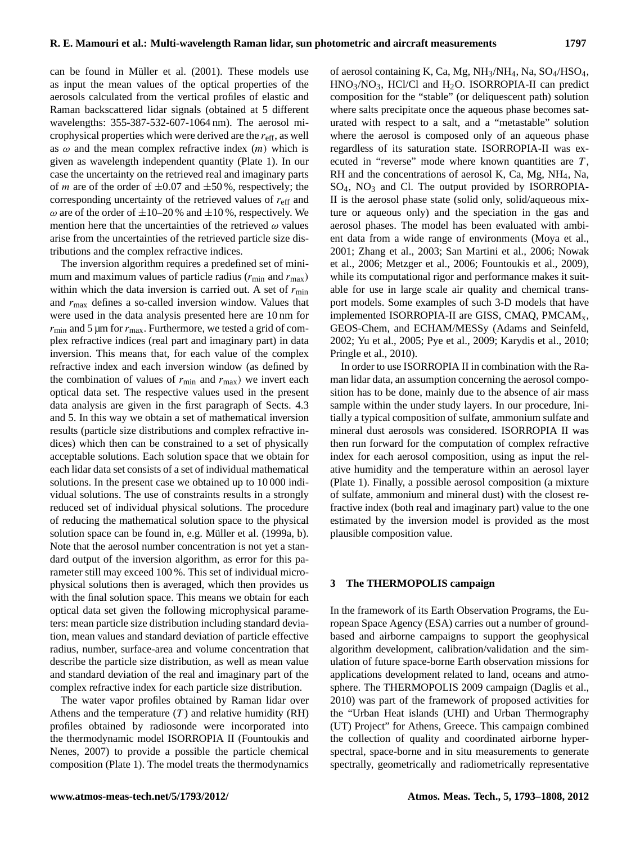can be found in Müller et al.  $(2001)$ . These models use as input the mean values of the optical properties of the aerosols calculated from the vertical profiles of elastic and Raman backscattered lidar signals (obtained at 5 different wavelengths: 355-387-532-607-1064 nm). The aerosol microphysical properties which were derived are the  $r_{\text{eff}}$ , as well as  $\omega$  and the mean complex refractive index  $(m)$  which is given as wavelength independent quantity (Plate 1). In our case the uncertainty on the retrieved real and imaginary parts of *m* are of the order of  $\pm 0.07$  and  $\pm 50$ %, respectively; the corresponding uncertainty of the retrieved values of  $r_{\text{eff}}$  and  $\omega$  are of the order of  $\pm 10{\text -}20$  % and  $\pm 10$  %, respectively. We mention here that the uncertainties of the retrieved  $\omega$  values arise from the uncertainties of the retrieved particle size distributions and the complex refractive indices.

The inversion algorithm requires a predefined set of minimum and maximum values of particle radius ( $r_{\text{min}}$  and  $r_{\text{max}}$ ) within which the data inversion is carried out. A set of  $r_{\min}$ and  $r_{\text{max}}$  defines a so-called inversion window. Values that were used in the data analysis presented here are 10 nm for  $r_{\rm min}$  and 5 µm for  $r_{\rm max}$ . Furthermore, we tested a grid of complex refractive indices (real part and imaginary part) in data inversion. This means that, for each value of the complex refractive index and each inversion window (as defined by the combination of values of  $r_{\text{min}}$  and  $r_{\text{max}}$ ) we invert each optical data set. The respective values used in the present data analysis are given in the first paragraph of Sects. 4.3 and 5. In this way we obtain a set of mathematical inversion results (particle size distributions and complex refractive indices) which then can be constrained to a set of physically acceptable solutions. Each solution space that we obtain for each lidar data set consists of a set of individual mathematical solutions. In the present case we obtained up to 10 000 individual solutions. The use of constraints results in a strongly reduced set of individual physical solutions. The procedure of reducing the mathematical solution space to the physical solution space can be found in, e.g. Müller et al. (1999a, b). Note that the aerosol number concentration is not yet a standard output of the inversion algorithm, as error for this parameter still may exceed 100 %. This set of individual microphysical solutions then is averaged, which then provides us with the final solution space. This means we obtain for each optical data set given the following microphysical parameters: mean particle size distribution including standard deviation, mean values and standard deviation of particle effective radius, number, surface-area and volume concentration that describe the particle size distribution, as well as mean value and standard deviation of the real and imaginary part of the complex refractive index for each particle size distribution.

The water vapor profiles obtained by Raman lidar over Athens and the temperature  $(T)$  and relative humidity (RH) profiles obtained by radiosonde were incorporated into the thermodynamic model ISORROPIA II (Fountoukis and Nenes, 2007) to provide a possible the particle chemical composition (Plate 1). The model treats the thermodynamics of aerosol containing K, Ca, Mg,  $NH<sub>3</sub>/NH<sub>4</sub>$ , Na,  $SO<sub>4</sub>/HSO<sub>4</sub>$ ,  $HNO<sub>3</sub>/NO<sub>3</sub>$ , HCl/Cl and H<sub>2</sub>O. ISORROPIA-II can predict composition for the "stable" (or deliquescent path) solution where salts precipitate once the aqueous phase becomes saturated with respect to a salt, and a "metastable" solution where the aerosol is composed only of an aqueous phase regardless of its saturation state. ISORROPIA-II was executed in "reverse" mode where known quantities are  $T$ , RH and the concentrations of aerosol K, Ca, Mg, NH4, Na, SO4, NO<sup>3</sup> and Cl. The output provided by ISORROPIA-II is the aerosol phase state (solid only, solid/aqueous mixture or aqueous only) and the speciation in the gas and aerosol phases. The model has been evaluated with ambient data from a wide range of environments (Moya et al., 2001; Zhang et al., 2003; San Martini et al., 2006; Nowak et al., 2006; Metzger et al., 2006; Fountoukis et al., 2009), while its computational rigor and performance makes it suitable for use in large scale air quality and chemical transport models. Some examples of such 3-D models that have implemented ISORROPIA-II are GISS, CMAQ, PMCAMx, GEOS-Chem, and ECHAM/MESSy (Adams and Seinfeld, 2002; Yu et al., 2005; Pye et al., 2009; Karydis et al., 2010; Pringle et al., 2010).

In order to use ISORROPIA II in combination with the Raman lidar data, an assumption concerning the aerosol composition has to be done, mainly due to the absence of air mass sample within the under study layers. In our procedure, Initially a typical composition of sulfate, ammonium sulfate and mineral dust aerosols was considered. ISORROPIA II was then run forward for the computation of complex refractive index for each aerosol composition, using as input the relative humidity and the temperature within an aerosol layer (Plate 1). Finally, a possible aerosol composition (a mixture of sulfate, ammonium and mineral dust) with the closest refractive index (both real and imaginary part) value to the one estimated by the inversion model is provided as the most plausible composition value.

## **3 The THERMOPOLIS campaign**

In the framework of its Earth Observation Programs, the European Space Agency (ESA) carries out a number of groundbased and airborne campaigns to support the geophysical algorithm development, calibration/validation and the simulation of future space-borne Earth observation missions for applications development related to land, oceans and atmosphere. The THERMOPOLIS 2009 campaign (Daglis et al., 2010) was part of the framework of proposed activities for the "Urban Heat islands (UHI) and Urban Thermography (UT) Project" for Athens, Greece. This campaign combined the collection of quality and coordinated airborne hyperspectral, space-borne and in situ measurements to generate spectrally, geometrically and radiometrically representative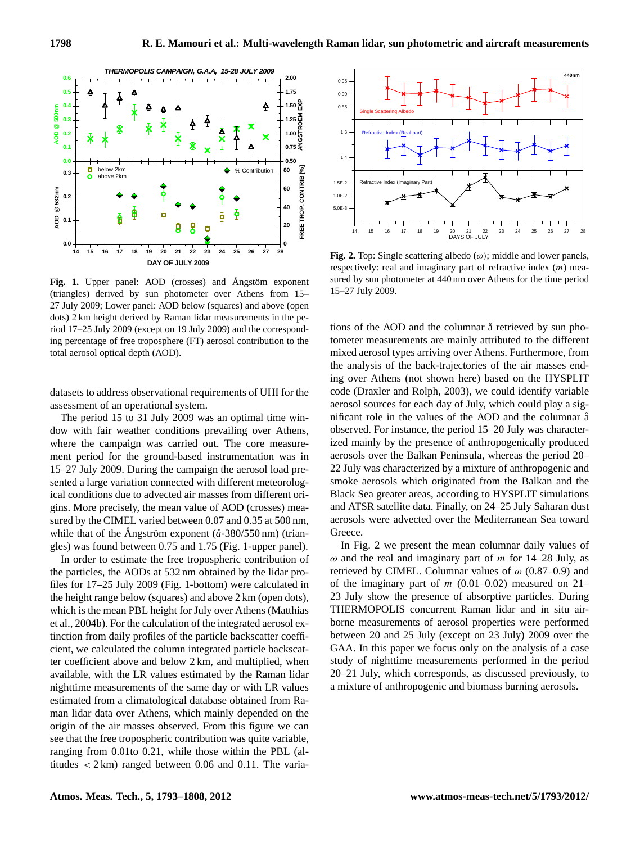

Fig. 1. Upper panel: AOD (crosses) and Ångstöm exponent (triangles) derived by sun photometer over Athens from 15– 27 July 2009; Lower panel: AOD below (squares) and above (open dots) 2 km height derived by Raman lidar measurements in the period 17–25 July 2009 (except on 19 July 2009) and the corresponding percentage of free troposphere (FT) aerosol contribution to the total aerosol optical depth (AOD).

datasets to address observational requirements of UHI for the assessment of an operational system.

The period 15 to 31 July 2009 was an optimal time window with fair weather conditions prevailing over Athens, where the campaign was carried out. The core measurement period for the ground-based instrumentation was in 15–27 July 2009. During the campaign the aerosol load presented a large variation connected with different meteorological conditions due to advected air masses from different origins. More precisely, the mean value of AOD (crosses) measured by the CIMEL varied between 0.07 and 0.35 at 500 nm, while that of the Angström exponent  $(\hat{a}$ -380/550 nm) (triangles) was found between 0.75 and 1.75 (Fig. 1-upper panel).

In order to estimate the free tropospheric contribution of the particles, the AODs at 532 nm obtained by the lidar profiles for 17–25 July 2009 (Fig. 1-bottom) were calculated in the height range below (squares) and above 2 km (open dots), which is the mean PBL height for July over Athens (Matthias et al., 2004b). For the calculation of the integrated aerosol extinction from daily profiles of the particle backscatter coefficient, we calculated the column integrated particle backscatter coefficient above and below 2 km, and multiplied, when available, with the LR values estimated by the Raman lidar nighttime measurements of the same day or with LR values estimated from a climatological database obtained from Raman lidar data over Athens, which mainly depended on the origin of the air masses observed. From this figure we can see that the free tropospheric contribution was quite variable, ranging from 0.01to 0.21, while those within the PBL (altitudes  $<$  2 km) ranged between 0.06 and 0.11. The varia-

![](_page_5_Figure_7.jpeg)

**Fig. 2.** Top: Single scattering albedo  $(\omega)$ ; middle and lower panels, respectively: real and imaginary part of refractive index (m) measured by sun photometer at 440 nm over Athens for the time period 15–27 July 2009.

tions of the AOD and the columnar å retrieved by sun photometer measurements are mainly attributed to the different mixed aerosol types arriving over Athens. Furthermore, from the analysis of the back-trajectories of the air masses ending over Athens (not shown here) based on the HYSPLIT code (Draxler and Rolph, 2003), we could identify variable aerosol sources for each day of July, which could play a significant role in the values of the AOD and the columnar  $\aa$ observed. For instance, the period 15–20 July was characterized mainly by the presence of anthropogenically produced aerosols over the Balkan Peninsula, whereas the period 20– 22 July was characterized by a mixture of anthropogenic and smoke aerosols which originated from the Balkan and the Black Sea greater areas, according to HYSPLIT simulations and ATSR satellite data. Finally, on 24–25 July Saharan dust aerosols were advected over the Mediterranean Sea toward Greece.

In Fig. 2 we present the mean columnar daily values of  $\omega$  and the real and imaginary part of *m* for 14–28 July, as retrieved by CIMEL. Columnar values of  $\omega$  (0.87–0.9) and of the imaginary part of  $m(0.01-0.02)$  measured on 21– 23 July show the presence of absorptive particles. During THERMOPOLIS concurrent Raman lidar and in situ airborne measurements of aerosol properties were performed between 20 and 25 July (except on 23 July) 2009 over the GAA. In this paper we focus only on the analysis of a case study of nighttime measurements performed in the period 20–21 July, which corresponds, as discussed previously, to a mixture of anthropogenic and biomass burning aerosols.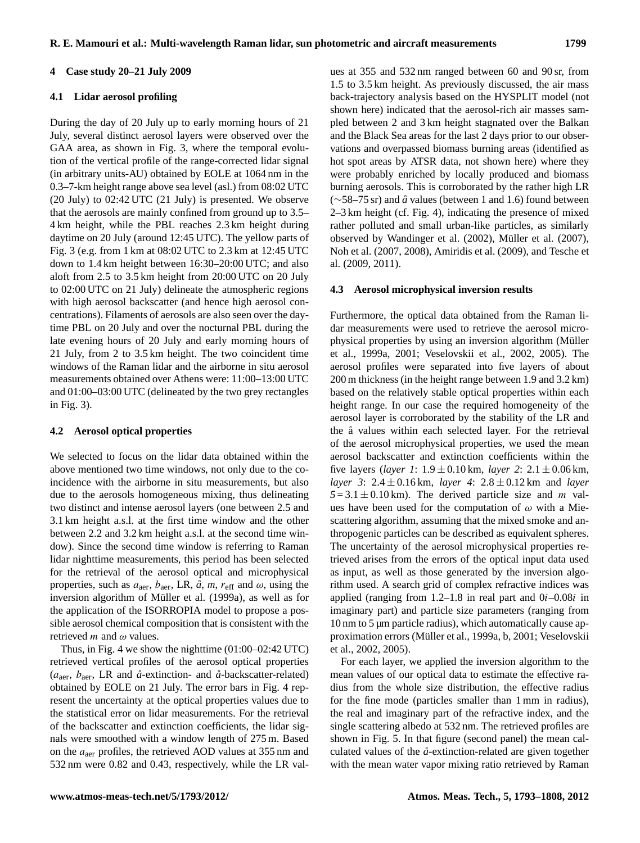#### **4 Case study 20–21 July 2009**

#### **4.1 Lidar aerosol profiling**

During the day of 20 July up to early morning hours of 21 July, several distinct aerosol layers were observed over the GAA area, as shown in Fig. 3, where the temporal evolution of the vertical profile of the range-corrected lidar signal (in arbitrary units-AU) obtained by EOLE at 1064 nm in the 0.3–7-km height range above sea level (asl.) from 08:02 UTC (20 July) to 02:42 UTC (21 July) is presented. We observe that the aerosols are mainly confined from ground up to 3.5– 4 km height, while the PBL reaches 2.3 km height during daytime on 20 July (around 12:45 UTC). The yellow parts of Fig. 3 (e.g. from 1 km at 08:02 UTC to 2.3 km at 12:45 UTC down to 1.4 km height between 16:30–20:00 UTC; and also aloft from 2.5 to 3.5 km height from 20:00 UTC on 20 July to 02:00 UTC on 21 July) delineate the atmospheric regions with high aerosol backscatter (and hence high aerosol concentrations). Filaments of aerosols are also seen over the daytime PBL on 20 July and over the nocturnal PBL during the late evening hours of 20 July and early morning hours of 21 July, from 2 to 3.5 km height. The two coincident time windows of the Raman lidar and the airborne in situ aerosol measurements obtained over Athens were: 11:00–13:00 UTC and 01:00–03:00 UTC (delineated by the two grey rectangles in Fig. 3).

#### **4.2 Aerosol optical properties**

We selected to focus on the lidar data obtained within the above mentioned two time windows, not only due to the coincidence with the airborne in situ measurements, but also due to the aerosols homogeneous mixing, thus delineating two distinct and intense aerosol layers (one between 2.5 and 3.1 km height a.s.l. at the first time window and the other between 2.2 and 3.2 km height a.s.l. at the second time window). Since the second time window is referring to Raman lidar nighttime measurements, this period has been selected for the retrieval of the aerosol optical and microphysical properties, such as  $a_{\text{aer}}$ ,  $b_{\text{aer}}$ , LR,  $\hat{a}$ ,  $m$ ,  $r_{\text{eff}}$  and  $\omega$ , using the inversion algorithm of Müller et al. (1999a), as well as for the application of the ISORROPIA model to propose a possible aerosol chemical composition that is consistent with the retrieved *m* and  $\omega$  values.

Thus, in Fig. 4 we show the nighttime (01:00–02:42 UTC) retrieved vertical profiles of the aerosol optical properties (aaer, baer, LR and *a˚*-extinction- and *a˚*-backscatter-related) obtained by EOLE on 21 July. The error bars in Fig. 4 represent the uncertainty at the optical properties values due to the statistical error on lidar measurements. For the retrieval of the backscatter and extinction coefficients, the lidar signals were smoothed with a window length of 275 m. Based on the  $a<sub>a</sub>$  profiles, the retrieved AOD values at 355 nm and 532 nm were 0.82 and 0.43, respectively, while the LR values at 355 and 532 nm ranged between 60 and 90 sr, from 1.5 to 3.5 km height. As previously discussed, the air mass back-trajectory analysis based on the HYSPLIT model (not shown here) indicated that the aerosol-rich air masses sampled between 2 and 3 km height stagnated over the Balkan and the Black Sea areas for the last 2 days prior to our observations and overpassed biomass burning areas (identified as hot spot areas by ATSR data, not shown here) where they were probably enriched by locally produced and biomass burning aerosols. This is corroborated by the rather high LR (∼58–75 sr) and *a˚* values (between 1 and 1.6) found between 2–3 km height (cf. Fig. 4), indicating the presence of mixed rather polluted and small urban-like particles, as similarly observed by Wandinger et al.  $(2002)$ , Müller et al.  $(2007)$ , Noh et al. (2007, 2008), Amiridis et al. (2009), and Tesche et al. (2009, 2011).

#### **4.3 Aerosol microphysical inversion results**

Furthermore, the optical data obtained from the Raman lidar measurements were used to retrieve the aerosol microphysical properties by using an inversion algorithm (Müller et al., 1999a, 2001; Veselovskii et al., 2002, 2005). The aerosol profiles were separated into five layers of about 200 m thickness (in the height range between 1.9 and 3.2 km) based on the relatively stable optical properties within each height range. In our case the required homogeneity of the aerosol layer is corroborated by the stability of the LR and the å values within each selected layer. For the retrieval of the aerosol microphysical properties, we used the mean aerosol backscatter and extinction coefficients within the five layers (*layer 1*: 1.9 ± 0.10 km, *layer 2*: 2.1 ± 0.06 km, *layer 3*: 2.4 ± 0.16 km, *layer 4*: 2.8 ± 0.12 km and *layer*  $5 = 3.1 \pm 0.10$  km). The derived particle size and m values have been used for the computation of  $\omega$  with a Miescattering algorithm, assuming that the mixed smoke and anthropogenic particles can be described as equivalent spheres. The uncertainty of the aerosol microphysical properties retrieved arises from the errors of the optical input data used as input, as well as those generated by the inversion algorithm used. A search grid of complex refractive indices was applied (ranging from 1.2–1.8 in real part and  $0i-0.08i$  in imaginary part) and particle size parameters (ranging from 10 nm to 5 µm particle radius), which automatically cause approximation errors (Muller et al., 1999a, b, 2001; Veselovskii ¨ et al., 2002, 2005).

For each layer, we applied the inversion algorithm to the mean values of our optical data to estimate the effective radius from the whole size distribution, the effective radius for the fine mode (particles smaller than 1 mm in radius), the real and imaginary part of the refractive index, and the single scattering albedo at 532 nm. The retrieved profiles are shown in Fig. 5. In that figure (second panel) the mean calculated values of the *a˚*-extinction-related are given together with the mean water vapor mixing ratio retrieved by Raman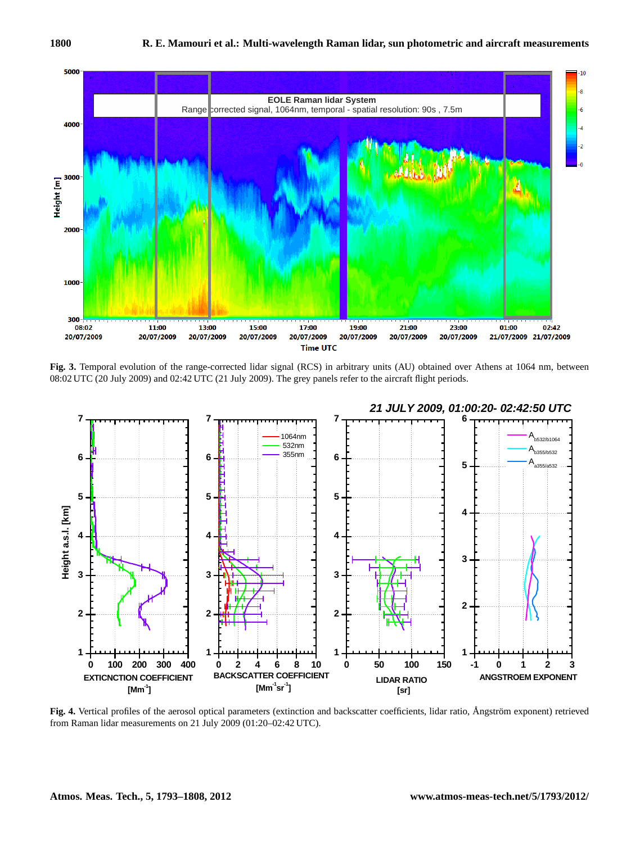![](_page_7_Figure_2.jpeg)

**Fig. 3.** Temporal evolution of the range-corrected lidar signal (RCS) in arbitrary units (AU) obtained over Athens at 1064 nm, between 08:02 UTC (20 July 2009) and 02:42 UTC (21 July 2009). The grey panels refer to the aircraft flight periods.

![](_page_7_Figure_4.jpeg)

Fig. 4. Vertical profiles of the aerosol optical parameters (extinction and backscatter coefficients, lidar ratio, Ångström exponent) retrieved from Raman lidar measurements on 21 July 2009 (01:20–02:42 UTC).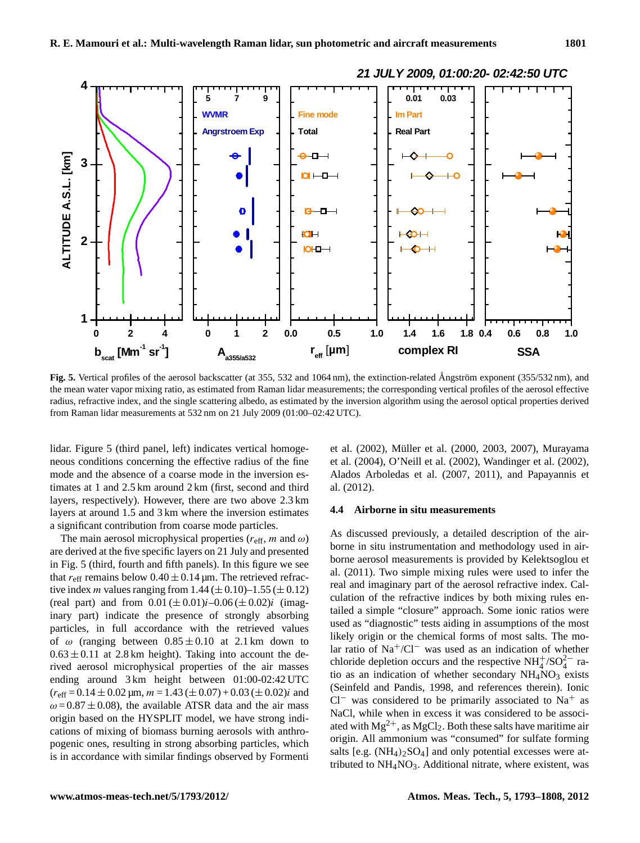![](_page_8_Figure_1.jpeg)

Fig. 5. Vertical profiles of the aerosol backscatter (at 355, 532 and 1064 nm), the extinction-related Angström exponent (355/532 nm), and the mean water vapor mixing ratio, as estimated from Raman lidar measurements; the corresponding vertical profiles of the aerosol effective radius, refractive index, and the single scattering albedo, as estimated by the inversion algorithm using the aerosol optical properties derived from Raman lidar measurements at 532 nm on 21 July 2009 (01:00–02:42 UTC).

lidar. Figure 5 (third panel, left) indicates vertical homogeneous conditions concerning the effective radius of the fine mode and the absence of a coarse mode in the inversion estimates at 1 and 2.5 km around 2 km (first, second and third layers, respectively). However, there are two above 2.3 km layers at around 1.5 and 3 km where the inversion estimates a significant contribution from coarse mode particles.

The main aerosol microphysical properties ( $r_{\text{eff}}$ , m and  $\omega$ ) are derived at the five specific layers on 21 July and presented in Fig. 5 (third, fourth and fifth panels). In this figure we see that  $r_{\text{eff}}$  remains below  $0.40 \pm 0.14$  µm. The retrieved refractive index *m* values ranging from  $1.44 \times (0.10) - 1.55 \times (0.12)$ (real part) and from  $0.01 (\pm 0.01)i - 0.06 (\pm 0.02)i$  (imaginary part) indicate the presence of strongly absorbing particles, in full accordance with the retrieved values of  $\omega$  (ranging between  $0.85 \pm 0.10$  at 2.1 km down to  $0.63 \pm 0.11$  at 2.8 km height). Taking into account the derived aerosol microphysical properties of the air masses ending around 3 km height between 01:00-02:42 UTC  $(r_{\text{eff}} = 0.14 \pm 0.02 \,\text{\mu m}, m = 1.43 \,(\pm 0.07) + 0.03 \,(\pm 0.02 \,\text{m})$  and  $\omega$  = 0.87 ± 0.08), the available ATSR data and the air mass origin based on the HYSPLIT model, we have strong indications of mixing of biomass burning aerosols with anthropogenic ones, resulting in strong absorbing particles, which is in accordance with similar findings observed by Formenti et al. (2002), Müller et al. (2000, 2003, 2007), Murayama et al. (2004), O'Neill et al. (2002), Wandinger et al. (2002), Alados Arboledas et al. (2007, 2011), and Papayannis et al. (2012).

#### **4.4 Airborne in situ measurements**

As discussed previously, a detailed description of the airborne in situ instrumentation and methodology used in airborne aerosol measurements is provided by Kelektsoglou et al. (2011). Two simple mixing rules were used to infer the real and imaginary part of the aerosol refractive index. Calculation of the refractive indices by both mixing rules entailed a simple "closure" approach. Some ionic ratios were used as "diagnostic" tests aiding in assumptions of the most likely origin or the chemical forms of most salts. The molar ratio of  $Na^{+}/Cl^{-}$  was used as an indication of whether chloride depletion occurs and the respective  $NH_4^+/SO_4^{2-}$  ratio as an indication of whether secondary  $NH<sub>4</sub>NO<sub>3</sub>$  exists (Seinfeld and Pandis, 1998, and references therein). Ionic  $Cl^-$  was considered to be primarily associated to Na<sup>+</sup> as NaCl, while when in excess it was considered to be associated with  $Mg^{2+}$ , as  $MgCl_2$ . Both these salts have maritime air origin. All ammonium was "consumed" for sulfate forming salts [e.g.  $(NH_4)_2SO_4$ ] and only potential excesses were attributed to  $NH<sub>4</sub>NO<sub>3</sub>$ . Additional nitrate, where existent, was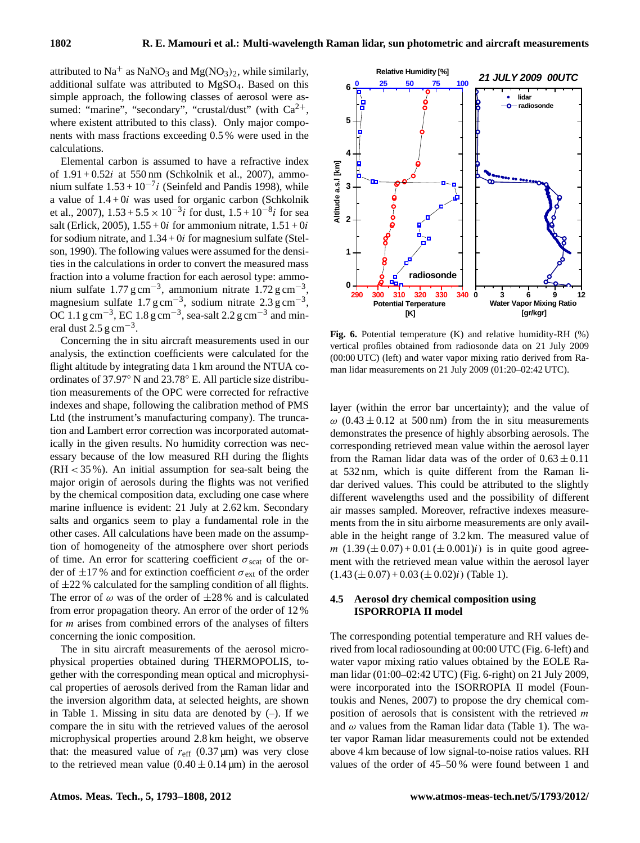attributed to  $Na<sup>+</sup>$  as NaNO<sub>3</sub> and Mg(NO<sub>3</sub>)<sub>2</sub>, while similarly, additional sulfate was attributed to MgSO4. Based on this simple approach, the following classes of aerosol were assumed: "marine", "secondary", "crustal/dust" (with  $Ca^{2+}$ , where existent attributed to this class). Only major components with mass fractions exceeding 0.5 % were used in the calculations.

Elemental carbon is assumed to have a refractive index of  $1.91 + 0.52i$  at 550 nm (Schkolnik et al., 2007), ammonium sulfate  $1.53 + 10^{-7}i$  (Seinfeld and Pandis 1998), while a value of  $1.4 + 0i$  was used for organic carbon (Schkolnik et al., 2007),  $1.53 + 5.5 \times 10^{-3}i$  for dust,  $1.5 + 10^{-8}i$  for sea salt (Erlick, 2005),  $1.55 + 0i$  for ammonium nitrate,  $1.51 + 0i$ for sodium nitrate, and  $1.34 + 0i$  for magnesium sulfate (Stelson, 1990). The following values were assumed for the densities in the calculations in order to convert the measured mass fraction into a volume fraction for each aerosol type: ammonium sulfate  $1.77 \text{ g cm}^{-3}$ , ammonium nitrate  $1.72 \text{ g cm}^{-3}$ , magnesium sulfate  $1.7 \text{ g cm}^{-3}$ , sodium nitrate  $2.3 \text{ g cm}^{-3}$ , OC 1.1  $\text{g cm}^{-3}$ , EC 1.8  $\text{g cm}^{-3}$ , sea-salt 2.2  $\text{g cm}^{-3}$  and mineral dust  $2.5 \text{ g cm}^{-3}$ .

Concerning the in situ aircraft measurements used in our analysis, the extinction coefficients were calculated for the flight altitude by integrating data 1 km around the NTUA coordinates of 37.97◦ N and 23.78◦ E. All particle size distribution measurements of the OPC were corrected for refractive indexes and shape, following the calibration method of PMS Ltd (the instrument's manufacturing company). The truncation and Lambert error correction was incorporated automatically in the given results. No humidity correction was necessary because of the low measured RH during the flights  $(RH < 35\%)$ . An initial assumption for sea-salt being the major origin of aerosols during the flights was not verified by the chemical composition data, excluding one case where marine influence is evident: 21 July at 2.62 km. Secondary salts and organics seem to play a fundamental role in the other cases. All calculations have been made on the assumption of homogeneity of the atmosphere over short periods of time. An error for scattering coefficient  $\sigma_{scat}$  of the order of  $\pm$ 17% and for extinction coefficient  $\sigma_{ext}$  of the order of  $\pm$ 22 % calculated for the sampling condition of all flights. The error of  $\omega$  was of the order of  $\pm 28$ % and is calculated from error propagation theory. An error of the order of 12 % for m arises from combined errors of the analyses of filters concerning the ionic composition.

The in situ aircraft measurements of the aerosol microphysical properties obtained during THERMOPOLIS, together with the corresponding mean optical and microphysical properties of aerosols derived from the Raman lidar and the inversion algorithm data, at selected heights, are shown in Table 1. Missing in situ data are denoted by  $(-)$ . If we compare the in situ with the retrieved values of the aerosol microphysical properties around 2.8 km height, we observe that: the measured value of  $r_{\text{eff}}$  (0.37 µm) was very close to the retrieved mean value  $(0.40 \pm 0.14 \,\mu\text{m})$  in the aerosol

![](_page_9_Figure_6.jpeg)

**Fig. 6.** Potential temperature (K) and relative humidity-RH (%) vertical profiles obtained from radiosonde data on 21 July 2009 (00:00 UTC) (left) and water vapor mixing ratio derived from Raman lidar measurements on 21 July 2009 (01:20–02:42 UTC).

layer (within the error bar uncertainty); and the value of  $\omega$  (0.43 ± 0.12 at 500 nm) from the in situ measurements demonstrates the presence of highly absorbing aerosols. The corresponding retrieved mean value within the aerosol layer from the Raman lidar data was of the order of  $0.63 \pm 0.11$ at 532 nm, which is quite different from the Raman lidar derived values. This could be attributed to the slightly different wavelengths used and the possibility of different air masses sampled. Moreover, refractive indexes measurements from the in situ airborne measurements are only available in the height range of 3.2 km. The measured value of m  $(1.39 \pm 0.07) + 0.01 \pm 0.001$ )*i*) is in quite good agreement with the retrieved mean value within the aerosol layer  $(1.43 (\pm 0.07) + 0.03 (\pm 0.02)i)$  (Table 1).

## **4.5 Aerosol dry chemical composition using ISPORROPIA II model**

The corresponding potential temperature and RH values derived from local radiosounding at 00:00 UTC (Fig. 6-left) and water vapor mixing ratio values obtained by the EOLE Raman lidar (01:00–02:42 UTC) (Fig. 6-right) on 21 July 2009, were incorporated into the ISORROPIA II model (Fountoukis and Nenes, 2007) to propose the dry chemical composition of aerosols that is consistent with the retrieved m and  $\omega$  values from the Raman lidar data (Table 1). The water vapor Raman lidar measurements could not be extended above 4 km because of low signal-to-noise ratios values. RH values of the order of 45–50 % were found between 1 and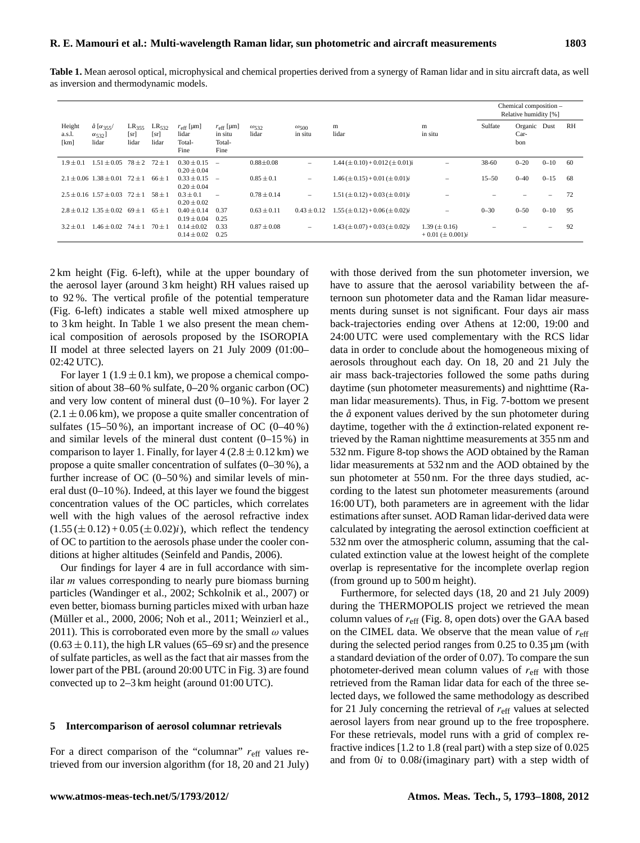**Table 1.** Mean aerosol optical, microphysical and chemical properties derived from a synergy of Raman lidar and in situ aircraft data, as well as inversion and thermodynamic models.

|                          |                                                              |                             |                             |                                                  |                                                    |                         |                           |                                          |                                             |           | Chemical composition -<br>Relative humidity [%] |          |           |  |
|--------------------------|--------------------------------------------------------------|-----------------------------|-----------------------------|--------------------------------------------------|----------------------------------------------------|-------------------------|---------------------------|------------------------------------------|---------------------------------------------|-----------|-------------------------------------------------|----------|-----------|--|
| Height<br>a.s.l.<br>[km] | $\aa$ [ $\alpha$ <sub>355</sub> /<br>$\alpha_{532}$<br>lidar | $LR_{355}$<br>[sr]<br>lidar | $LR_{532}$<br>[sr]<br>lidar | $r_{\text{eff}}$ [µm]<br>lidar<br>Total-<br>Fine | $r_{\text{eff}}$ [µm]<br>in situ<br>Total-<br>Fine | $\omega_{532}$<br>lidar | $\omega_{500}$<br>in situ | m<br>lidar                               | m<br>in situ                                | Sulfate   | Organic<br>Car-<br>bon                          | Dust     | <b>RH</b> |  |
| $1.9 \pm 0.1$            | $1.51 \pm 0.05$                                              | $78 \pm 2$                  | $72 \pm 1$                  | $0.30 \pm 0.15$<br>$0.20 \pm 0.04$               | -                                                  | $0.88 \pm 0.08$         | -                         | $1.44 (\pm 0.10) + 0.012 (\pm 0.01)i$    | -                                           | 38-60     | $0 - 20$                                        | $0 - 10$ | -60       |  |
|                          | $2.1 \pm 0.06$ $1.38 \pm 0.01$                               | $72 \pm 1$                  | $66 \pm 1$                  | $0.33 \pm 0.15$<br>$0.20 \pm 0.04$               | $\overline{\phantom{a}}$                           | $0.85 \pm 0.1$          | $\equiv$                  | $1.46 \ (\pm 0.15) + 0.01 \ (\pm 0.01)i$ | -                                           | $15 - 50$ | $0 - 40$                                        | $0 - 15$ | 68        |  |
|                          | $2.5 \pm 0.16$ $1.57 \pm 0.03$                               | $72 + 1$                    | $58 \pm 1$                  | $0.3 \pm 0.1$<br>$0.20 \pm 0.02$                 | -                                                  | $0.78 + 0.14$           | -                         | $1.51 (\pm 0.12) + 0.03 (\pm 0.01)i$     | -                                           |           |                                                 |          | 72        |  |
|                          | $2.8 \pm 0.12$ $1.35 \pm 0.02$                               | $69 \pm 1$                  | $65 \pm 1$                  | $0.40 \pm 0.14$<br>$0.19 \pm 0.04$               | 0.37<br>0.25                                       | $0.63 \pm 0.11$         | $0.43 \pm 0.12$           | $1.55 (\pm 0.12) + 0.06 (\pm 0.02)i$     | $\equiv$                                    | $0 - 30$  | $0 - 50$                                        | $0 - 10$ | 95        |  |
| $3.2 \pm 0.1$            | $.46 + 0.02$ 74 + 1                                          |                             | $70 \pm 1$                  | $0.14 \pm 0.02$<br>$0.14 \pm 0.02$               | 0.33<br>0.25                                       | $0.87 \pm 0.08$         | $\overline{\phantom{0}}$  | $1.43 \ (\pm 0.07) + 0.03 \ (\pm 0.02)i$ | $1.39 \ (\pm 0.16)$<br>$+0.01 (\pm 0.001)i$ |           |                                                 |          | 92        |  |

2 km height (Fig. 6-left), while at the upper boundary of the aerosol layer (around 3 km height) RH values raised up to 92 %. The vertical profile of the potential temperature (Fig. 6-left) indicates a stable well mixed atmosphere up to 3 km height. In Table 1 we also present the mean chemical composition of aerosols proposed by the ISOROPIA II model at three selected layers on 21 July 2009 (01:00– 02:42 UTC).

For layer 1 ( $1.9 \pm 0.1$  km), we propose a chemical composition of about 38–60 % sulfate, 0–20 % organic carbon (OC) and very low content of mineral dust (0–10 %). For layer 2  $(2.1 \pm 0.06 \text{ km})$ , we propose a quite smaller concentration of sulfates  $(15-50\%)$ , an important increase of OC  $(0-40\%)$ and similar levels of the mineral dust content  $(0-15\%)$  in comparison to layer 1. Finally, for layer  $4(2.8 \pm 0.12 \text{ km})$  we propose a quite smaller concentration of sulfates (0–30 %), a further increase of OC  $(0-50\%)$  and similar levels of mineral dust  $(0-10\%)$ . Indeed, at this layer we found the biggest concentration values of the OC particles, which correlates well with the high values of the aerosol refractive index  $(1.55 (\pm 0.12) + 0.05 (\pm 0.02)i)$ , which reflect the tendency of OC to partition to the aerosols phase under the cooler conditions at higher altitudes (Seinfeld and Pandis, 2006).

Our findings for layer 4 are in full accordance with similar m values corresponding to nearly pure biomass burning particles (Wandinger et al., 2002; Schkolnik et al., 2007) or even better, biomass burning particles mixed with urban haze (Müller et al., 2000, 2006; Noh et al., 2011; Weinzierl et al., 2011). This is corroborated even more by the small  $\omega$  values  $(0.63 \pm 0.11)$ , the high LR values (65–69 sr) and the presence of sulfate particles, as well as the fact that air masses from the lower part of the PBL (around 20:00 UTC in Fig. 3) are found convected up to 2–3 km height (around 01:00 UTC).

### **5 Intercomparison of aerosol columnar retrievals**

For a direct comparison of the "columnar"  $r_{\text{eff}}$  values retrieved from our inversion algorithm (for 18, 20 and 21 July)

with those derived from the sun photometer inversion, we have to assure that the aerosol variability between the afternoon sun photometer data and the Raman lidar measurements during sunset is not significant. Four days air mass back-trajectories ending over Athens at 12:00, 19:00 and 24:00 UTC were used complementary with the RCS lidar data in order to conclude about the homogeneous mixing of aerosols throughout each day. On 18, 20 and 21 July the air mass back-trajectories followed the some paths during daytime (sun photometer measurements) and nighttime (Raman lidar measurements). Thus, in Fig. 7-bottom we present the *a˚* exponent values derived by the sun photometer during daytime, together with the *a˚* extinction-related exponent retrieved by the Raman nighttime measurements at 355 nm and 532 nm. Figure 8-top shows the AOD obtained by the Raman lidar measurements at 532 nm and the AOD obtained by the sun photometer at 550 nm. For the three days studied, according to the latest sun photometer measurements (around 16:00 UT), both parameters are in agreement with the lidar estimations after sunset. AOD Raman lidar-derived data were calculated by integrating the aerosol extinction coefficient at 532 nm over the atmospheric column, assuming that the calculated extinction value at the lowest height of the complete overlap is representative for the incomplete overlap region (from ground up to 500 m height).

Furthermore, for selected days (18, 20 and 21 July 2009) during the THERMOPOLIS project we retrieved the mean column values of  $r_{\text{eff}}$  (Fig. 8, open dots) over the GAA based on the CIMEL data. We observe that the mean value of  $r_{\text{eff}}$ during the selected period ranges from 0.25 to 0.35 µm (with a standard deviation of the order of 0.07). To compare the sun photometer-derived mean column values of  $r_{\text{eff}}$  with those retrieved from the Raman lidar data for each of the three selected days, we followed the same methodology as described for 21 July concerning the retrieval of  $r_{\text{eff}}$  values at selected aerosol layers from near ground up to the free troposphere. For these retrievals, model runs with a grid of complex refractive indices [1.2 to 1.8 (real part) with a step size of 0.025 and from  $0i$  to  $0.08i$  (imaginary part) with a step width of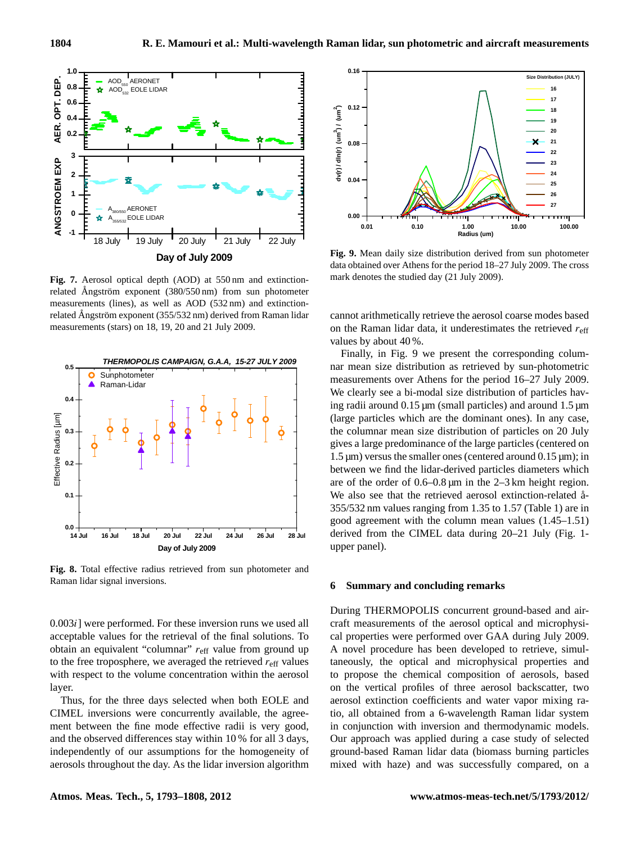![](_page_11_Figure_2.jpeg)

**Fig. 7.** Aerosol optical depth (AOD) at 550 nm and extinctionrelated Ångström exponent  $(380/550 \text{ nm})$  from sun photometer measurements (lines), as well as AOD (532 nm) and extinctionrelated Ångström exponent (355/532 nm) derived from Raman lidar measurements (stars) on 18, 19, 20 and 21 July 2009.

![](_page_11_Figure_4.jpeg)

**Fig. 8.** Total effective radius retrieved from sun photometer and Raman lidar signal inversions.

 $0.003i$ ] were performed. For these inversion runs we used all acceptable values for the retrieval of the final solutions. To obtain an equivalent "columnar"  $r_{\text{eff}}$  value from ground up to the free troposphere, we averaged the retrieved  $r_{\text{eff}}$  values with respect to the volume concentration within the aerosol layer.

Thus, for the three days selected when both EOLE and CIMEL inversions were concurrently available, the agreement between the fine mode effective radii is very good, and the observed differences stay within 10 % for all 3 days, independently of our assumptions for the homogeneity of aerosols throughout the day. As the lidar inversion algorithm

![](_page_11_Figure_8.jpeg)

**Fig. 9.** Mean daily size distribution derived from sun photometer data obtained over Athens for the period 18–27 July 2009. The cross mark denotes the studied day (21 July 2009).

cannot arithmetically retrieve the aerosol coarse modes based on the Raman lidar data, it underestimates the retrieved  $r_{\text{eff}}$ values by about 40 %.

Finally, in Fig. 9 we present the corresponding columnar mean size distribution as retrieved by sun-photometric measurements over Athens for the period 16–27 July 2009. We clearly see a bi-modal size distribution of particles having radii around 0.15 µm (small particles) and around 1.5 µm (large particles which are the dominant ones). In any case, the columnar mean size distribution of particles on 20 July gives a large predominance of the large particles (centered on  $1.5 \,\mu\text{m}$ ) versus the smaller ones (centered around  $0.15 \,\mu\text{m}$ ); in between we find the lidar-derived particles diameters which are of the order of 0.6–0.8 µm in the 2–3 km height region. We also see that the retrieved aerosol extinction-related  $\aa$ -355/532 nm values ranging from 1.35 to 1.57 (Table 1) are in good agreement with the column mean values (1.45–1.51) derived from the CIMEL data during 20–21 July (Fig. 1 upper panel).

#### **6 Summary and concluding remarks**

During THERMOPOLIS concurrent ground-based and aircraft measurements of the aerosol optical and microphysical properties were performed over GAA during July 2009. A novel procedure has been developed to retrieve, simultaneously, the optical and microphysical properties and to propose the chemical composition of aerosols, based on the vertical profiles of three aerosol backscatter, two aerosol extinction coefficients and water vapor mixing ratio, all obtained from a 6-wavelength Raman lidar system in conjunction with inversion and thermodynamic models. Our approach was applied during a case study of selected ground-based Raman lidar data (biomass burning particles mixed with haze) and was successfully compared, on a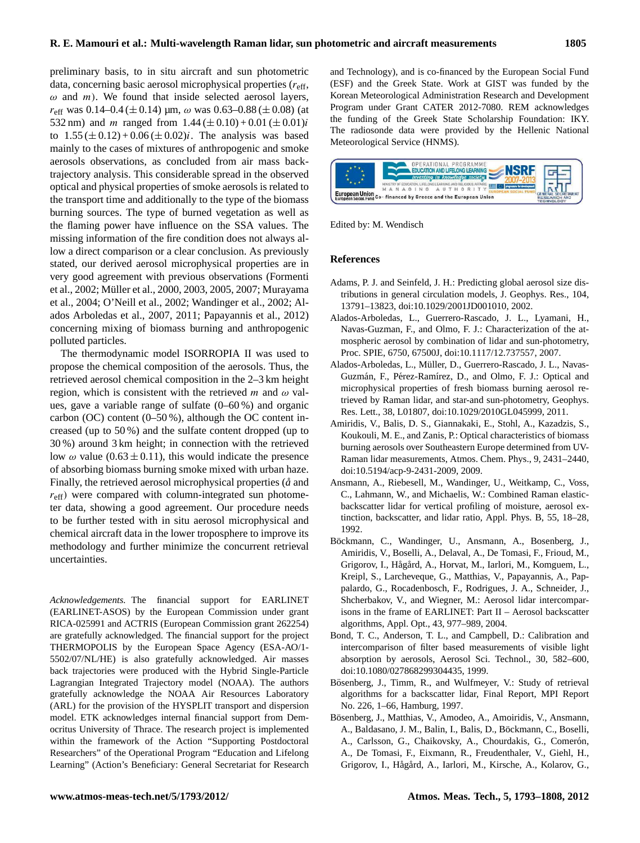preliminary basis, to in situ aircraft and sun photometric data, concerning basic aerosol microphysical properties  $(r_{\text{eff}})$ ,  $\omega$  and *m*). We found that inside selected aerosol layers,  $r_{\text{eff}}$  was 0.14–0.4 ( $\pm$  0.14) µm,  $\omega$  was 0.63–0.88 ( $\pm$  0.08) (at 532 nm) and m ranged from  $1.44 (\pm 0.10) + 0.01 (\pm 0.01)i$ to  $1.55 (\pm 0.12) + 0.06 (\pm 0.02)i$ . The analysis was based mainly to the cases of mixtures of anthropogenic and smoke aerosols observations, as concluded from air mass backtrajectory analysis. This considerable spread in the observed optical and physical properties of smoke aerosols is related to the transport time and additionally to the type of the biomass burning sources. The type of burned vegetation as well as the flaming power have influence on the SSA values. The missing information of the fire condition does not always allow a direct comparison or a clear conclusion. As previously stated, our derived aerosol microphysical properties are in very good agreement with previous observations (Formenti et al., 2002; Muller et al., 2000, 2003, 2005, 2007; Murayama ¨ et al., 2004; O'Neill et al., 2002; Wandinger et al., 2002; Alados Arboledas et al., 2007, 2011; Papayannis et al., 2012) concerning mixing of biomass burning and anthropogenic polluted particles.

The thermodynamic model ISORROPIA II was used to propose the chemical composition of the aerosols. Thus, the retrieved aerosol chemical composition in the 2–3 km height region, which is consistent with the retrieved m and  $\omega$  values, gave a variable range of sulfate (0–60 %) and organic carbon (OC) content  $(0-50\%)$ , although the OC content increased (up to 50 %) and the sulfate content dropped (up to 30 %) around 3 km height; in connection with the retrieved low  $\omega$  value (0.63  $\pm$  0.11), this would indicate the presence of absorbing biomass burning smoke mixed with urban haze. Finally, the retrieved aerosol microphysical properties (*a˚* and  $r_{\text{eff}}$ ) were compared with column-integrated sun photometer data, showing a good agreement. Our procedure needs to be further tested with in situ aerosol microphysical and chemical aircraft data in the lower troposphere to improve its methodology and further minimize the concurrent retrieval uncertainties.

*Acknowledgements.* The financial support for EARLINET (EARLINET-ASOS) by the European Commission under grant RICA-025991 and ACTRIS (European Commission grant 262254) are gratefully acknowledged. The financial support for the project THERMOPOLIS by the European Space Agency (ESA-AO/1- 5502/07/NL/HE) is also gratefully acknowledged. Air masses back trajectories were produced with the Hybrid Single-Particle Lagrangian Integrated Trajectory model (NOAA). The authors gratefully acknowledge the NOAA Air Resources Laboratory (ARL) for the provision of the HYSPLIT transport and dispersion model. ETK acknowledges internal financial support from Democritus University of Thrace. The research project is implemented within the framework of the Action "Supporting Postdoctoral Researchers" of the Operational Program "Education and Lifelong Learning" (Action's Beneficiary: General Secretariat for Research

and Technology), and is co-financed by the European Social Fund (ESF) and the Greek State. Work at GIST was funded by the Korean Meteorological Administration Research and Development Program under Grant CATER 2012-7080. REM acknowledges the funding of the Greek State Scholarship Foundation: IKY. The radiosonde data were provided by the Hellenic National Meteorological Service (HNMS).

![](_page_12_Figure_6.jpeg)

Edited by: M. Wendisch

## **References**

- Adams, P. J. and Seinfeld, J. H.: Predicting global aerosol size distributions in general circulation models, J. Geophys. Res., 104, 13791–13823, [doi:10.1029/2001JD001010,](http://dx.doi.org/10.1029/2001JD001010) 2002.
- Alados-Arboledas, L., Guerrero-Rascado, J. L., Lyamani, H., Navas-Guzman, F., and Olmo, F. J.: Characterization of the atmospheric aerosol by combination of lidar and sun-photometry, Proc. SPIE, 6750, 67500J, [doi:10.1117/12.737557,](http://dx.doi.org/10.1117/12.737557) 2007.
- Alados-Arboledas, L., Muller, D., Guerrero-Rascado, J. L., Navas- ¨ Guzmán, F., Pérez-Ramírez, D., and Olmo, F. J.: Optical and microphysical properties of fresh biomass burning aerosol retrieved by Raman lidar, and star-and sun-photometry, Geophys. Res. Lett., 38, L01807, [doi:10.1029/2010GL045999,](http://dx.doi.org/10.1029/2010GL045999) 2011.
- Amiridis, V., Balis, D. S., Giannakaki, E., Stohl, A., Kazadzis, S., Koukouli, M. E., and Zanis, P.: Optical characteristics of biomass burning aerosols over Southeastern Europe determined from UV-Raman lidar measurements, Atmos. Chem. Phys., 9, 2431–2440, [doi:10.5194/acp-9-2431-2009,](http://dx.doi.org/10.5194/acp-9-2431-2009) 2009.
- Ansmann, A., Riebesell, M., Wandinger, U., Weitkamp, C., Voss, C., Lahmann, W., and Michaelis, W.: Combined Raman elasticbackscatter lidar for vertical profiling of moisture, aerosol extinction, backscatter, and lidar ratio, Appl. Phys. B, 55, 18–28, 1992.
- Böckmann, C., Wandinger, U., Ansmann, A., Bosenberg, J., Amiridis, V., Boselli, A., Delaval, A., De Tomasi, F., Frioud, M., Grigorov, I., Hågård, A., Horvat, M., Iarlori, M., Komguem, L., Kreipl, S., Larcheveque, G., Matthias, V., Papayannis, A., Pappalardo, G., Rocadenbosch, F., Rodrigues, J. A., Schneider, J., Shcherbakov, V., and Wiegner, M.: Aerosol lidar intercomparisons in the frame of EARLINET: Part II – Aerosol backscatter algorithms, Appl. Opt., 43, 977–989, 2004.
- Bond, T. C., Anderson, T. L., and Campbell, D.: Calibration and intercomparison of filter based measurements of visible light absorption by aerosols, Aerosol Sci. Technol., 30, 582–600, [doi:10.1080/027868299304435,](http://dx.doi.org/10.1080/027868299304435) 1999.
- Bösenberg, J., Timm, R., and Wulfmeyer, V.: Study of retrieval algorithms for a backscatter lidar, Final Report, MPI Report No. 226, 1–66, Hamburg, 1997.
- Bösenberg, J., Matthias, V., Amodeo, A., Amoiridis, V., Ansmann, A., Baldasano, J. M., Balin, I., Balis, D., Böckmann, C., Boselli, A., Carlsson, G., Chaikovsky, A., Chourdakis, G., Comerón, A., De Tomasi, F., Eixmann, R., Freudenthaler, V., Giehl, H., Grigorov, I., Hågård, A., Iarlori, M., Kirsche, A., Kolarov, G.,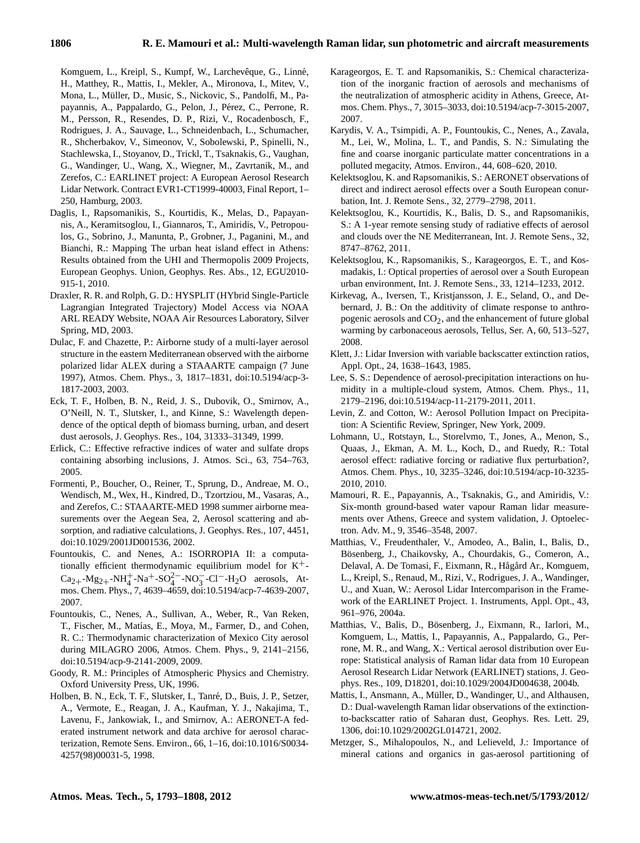Komguem, L., Kreipl, S., Kumpf, W., Larchevêque, G., Linné, H., Matthey, R., Mattis, I., Mekler, A., Mironova, I., Mitev, V., Mona, L., Müller, D., Music, S., Nickovic, S., Pandolfi, M., Papayannis, A., Pappalardo, G., Pelon, J., Pérez, C., Perrone, R. M., Persson, R., Resendes, D. P., Rizi, V., Rocadenbosch, F., Rodrigues, J. A., Sauvage, L., Schneidenbach, L., Schumacher, R., Shcherbakov, V., Simeonov, V., Sobolewski, P., Spinelli, N., Stachlewska, I., Stoyanov, D., Trickl, T., Tsaknakis, G., Vaughan, G., Wandinger, U., Wang, X., Wiegner, M., Zavrtanik, M., and Zerefos, C.: EARLINET project: A European Aerosol Research Lidar Network. Contract EVR1-CT1999-40003, Final Report, 1– 250, Hamburg, 2003.

- Daglis, I., Rapsomanikis, S., Kourtidis, K., Melas, D., Papayannis, A., Keramitsoglou, I., Giannaros, T., Amiridis, V., Petropoulos, G., Sobrino, J., Manunta, P., Grobner, J., Paganini, M., and Bianchi, R.: Mapping The urban heat island effect in Athens: Results obtained from the UHI and Thermopolis 2009 Projects, European Geophys. Union, Geophys. Res. Abs., 12, EGU2010- 915-1, 2010.
- Draxler, R. R. and Rolph, G. D.: HYSPLIT (HYbrid Single-Particle Lagrangian Integrated Trajectory) Model Access via NOAA ARL READY Website, NOAA Air Resources Laboratory, Silver Spring, MD, 2003.
- Dulac, F. and Chazette, P.: Airborne study of a multi-layer aerosol structure in the eastern Mediterranean observed with the airborne polarized lidar ALEX during a STAAARTE campaign (7 June 1997), Atmos. Chem. Phys., 3, 1817–1831, [doi:10.5194/acp-3-](http://dx.doi.org/10.5194/acp-3-1817-2003) [1817-2003,](http://dx.doi.org/10.5194/acp-3-1817-2003) 2003.
- Eck, T. F., Holben, B. N., Reid, J. S., Dubovik, O., Smirnov, A., O'Neill, N. T., Slutsker, I., and Kinne, S.: Wavelength dependence of the optical depth of biomass burning, urban, and desert dust aerosols, J. Geophys. Res., 104, 31333–31349, 1999.
- Erlick, C.: Effective refractive indices of water and sulfate drops containing absorbing inclusions, J. Atmos. Sci., 63, 754–763, 2005.
- Formenti, P., Boucher, O., Reiner, T., Sprung, D., Andreae, M. O., Wendisch, M., Wex, H., Kindred, D., Tzortziou, M., Vasaras, A., and Zerefos, C.: STAAARTE-MED 1998 summer airborne measurements over the Aegean Sea, 2, Aerosol scattering and absorption, and radiative calculations, J. Geophys. Res., 107, 4451, [doi:10.1029/2001JD001536,](http://dx.doi.org/10.1029/2001JD001536) 2002.
- Fountoukis, C. and Nenes, A.: ISORROPIA II: a computationally efficient thermodynamic equilibrium model for  $K^+$ - $Ca_{2+}$ -Mg<sub>2+</sub>-NH<sub>4</sub><sup>-</sup>-Na<sup>+</sup>-SO<sub>4</sub><sup>2-</sup>-NO<sub>3</sub><sup>-</sup>-Cl<sup>-</sup>-H<sub>2</sub>O aerosols, Atmos. Chem. Phys., 7, 4639–4659, [doi:10.5194/acp-7-4639-2007,](http://dx.doi.org/10.5194/acp-7-4639-2007) 2007.
- Fountoukis, C., Nenes, A., Sullivan, A., Weber, R., Van Reken, T., Fischer, M., Matías, E., Moya, M., Farmer, D., and Cohen, R. C.: Thermodynamic characterization of Mexico City aerosol during MILAGRO 2006, Atmos. Chem. Phys., 9, 2141–2156, [doi:10.5194/acp-9-2141-2009,](http://dx.doi.org/10.5194/acp-9-2141-2009) 2009.
- Goody, R. M.: Principles of Atmospheric Physics and Chemistry. Oxford University Press, UK, 1996.
- Holben, B. N., Eck, T. F., Slutsker, I., Tanré, D., Buis, J. P., Setzer, A., Vermote, E., Reagan, J. A., Kaufman, Y. J., Nakajima, T., Lavenu, F., Jankowiak, I., and Smirnov, A.: AERONET-A federated instrument network and data archive for aerosol characterization, Remote Sens. Environ., 66, 1–16, [doi:10.1016/S0034-](http://dx.doi.org/10.1016/S0034-4257(98)00031-5) [4257\(98\)00031-5,](http://dx.doi.org/10.1016/S0034-4257(98)00031-5) 1998.
- Karageorgos, E. T. and Rapsomanikis, S.: Chemical characterization of the inorganic fraction of aerosols and mechanisms of the neutralization of atmospheric acidity in Athens, Greece, Atmos. Chem. Phys., 7, 3015–3033, [doi:10.5194/acp-7-3015-2007,](http://dx.doi.org/10.5194/acp-7-3015-2007) 2007.
- Karydis, V. A., Tsimpidi, A. P., Fountoukis, C., Nenes, A., Zavala, M., Lei, W., Molina, L. T., and Pandis, S. N.: Simulating the fine and coarse inorganic particulate matter concentrations in a polluted megacity, Atmos. Environ., 44, 608–620, 2010.
- Kelektsoglou, K. and Rapsomanikis, S.: AERONET observations of direct and indirect aerosol effects over a South European conurbation, Int. J. Remote Sens., 32, 2779–2798, 2011.
- Kelektsoglou, K., Kourtidis, K., Balis, D. S., and Rapsomanikis, S.: A 1-year remote sensing study of radiative effects of aerosol and clouds over the NE Mediterranean, Int. J. Remote Sens., 32, 8747–8762, 2011.
- Kelektsoglou, K., Rapsomanikis, S., Karageorgos, E. T., and Kosmadakis, I.: Optical properties of aerosol over a South European urban environment, Int. J. Remote Sens., 33, 1214–1233, 2012.
- Kirkevag, A., Iversen, T., Kristjansson, J. E., Seland, O., and Debernard, J. B.: On the additivity of climate response to anthropogenic aerosols and CO<sub>2</sub>, and the enhancement of future global warming by carbonaceous aerosols, Tellus, Ser. A, 60, 513–527, 2008.
- Klett, J.: Lidar Inversion with variable backscatter extinction ratios, Appl. Opt., 24, 1638–1643, 1985.
- Lee, S. S.: Dependence of aerosol-precipitation interactions on humidity in a multiple-cloud system, Atmos. Chem. Phys., 11, 2179–2196, [doi:10.5194/acp-11-2179-2011,](http://dx.doi.org/10.5194/acp-11-2179-2011) 2011.
- Levin, Z. and Cotton, W.: Aerosol Pollution Impact on Precipitation: A Scientific Review, Springer, New York, 2009.
- Lohmann, U., Rotstayn, L., Storelvmo, T., Jones, A., Menon, S., Quaas, J., Ekman, A. M. L., Koch, D., and Ruedy, R.: Total aerosol effect: radiative forcing or radiative flux perturbation?, Atmos. Chem. Phys., 10, 3235–3246, [doi:10.5194/acp-10-3235-](http://dx.doi.org/10.5194/acp-10-3235-2010) [2010,](http://dx.doi.org/10.5194/acp-10-3235-2010) 2010.
- Mamouri, R. E., Papayannis, A., Tsaknakis, G., and Amiridis, V.: Six-month ground-based water vapour Raman lidar measurements over Athens, Greece and system validation, J. Optoelectron. Adv. M., 9, 3546–3548, 2007.
- Matthias, V., Freudenthaler, V., Amodeo, A., Balin, I., Balis, D., Bösenberg, J., Chaikovsky, A., Chourdakis, G., Comeron, A., Delaval, A. De Tomasi, F., Eixmann, R., Hågård Ar., Komguem, L., Kreipl, S., Renaud, M., Rizi, V., Rodrigues, J. A., Wandinger, U., and Xuan, W.: Aerosol Lidar Intercomparison in the Framework of the EARLINET Project. 1. Instruments, Appl. Opt., 43, 961–976, 2004a.
- Matthias, V., Balis, D., Bösenberg, J., Eixmann, R., Iarlori, M., Komguem, L., Mattis, I., Papayannis, A., Pappalardo, G., Perrone, M. R., and Wang, X.: Vertical aerosol distribution over Europe: Statistical analysis of Raman lidar data from 10 European Aerosol Research Lidar Network (EARLINET) stations, J. Geophys. Res., 109, D18201, [doi:10.1029/2004JD004638,](http://dx.doi.org/10.1029/2004JD004638) 2004b.
- Mattis, I., Ansmann, A., Müller, D., Wandinger, U., and Althausen, D.: Dual-wavelength Raman lidar observations of the extinctionto-backscatter ratio of Saharan dust, Geophys. Res. Lett. 29, 1306, [doi:10.1029/2002GL014721,](http://dx.doi.org/10.1029/2002GL014721) 2002.
- Metzger, S., Mihalopoulos, N., and Lelieveld, J.: Importance of mineral cations and organics in gas-aerosol partitioning of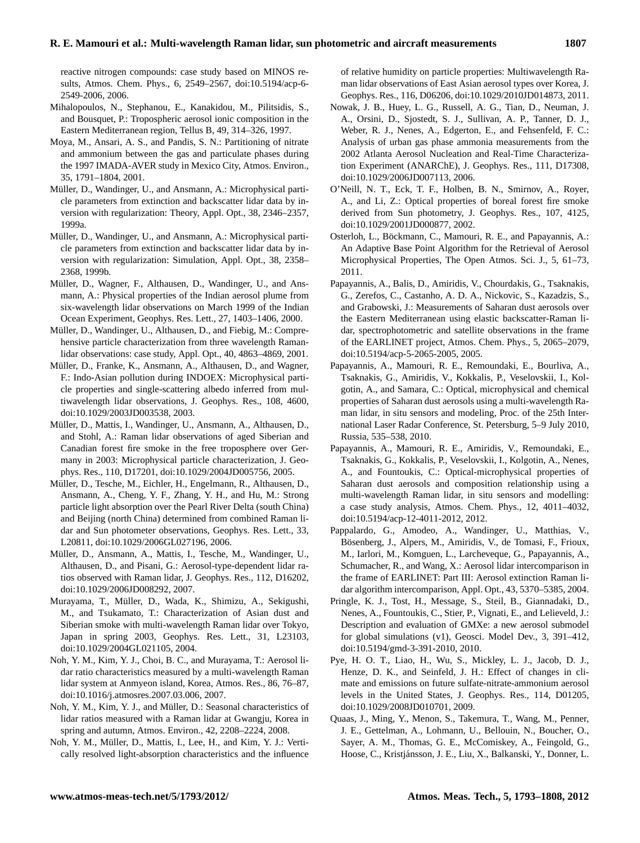reactive nitrogen compounds: case study based on MINOS results, Atmos. Chem. Phys., 6, 2549–2567, [doi:10.5194/acp-6-](http://dx.doi.org/10.5194/acp-6-2549-2006) [2549-2006,](http://dx.doi.org/10.5194/acp-6-2549-2006) 2006.

- Mihalopoulos, N., Stephanou, E., Kanakidou, M., Pilitsidis, S., and Bousquet, P.: Tropospheric aerosol ionic composition in the Eastern Mediterranean region, Tellus B, 49, 314–326, 1997.
- Moya, M., Ansari, A. S., and Pandis, S. N.: Partitioning of nitrate and ammonium between the gas and particulate phases during the 1997 IMADA-AVER study in Mexico City, Atmos. Environ., 35, 1791–1804, 2001.
- Müller, D., Wandinger, U., and Ansmann, A.: Microphysical particle parameters from extinction and backscatter lidar data by inversion with regularization: Theory, Appl. Opt., 38, 2346–2357, 1999a.
- Müller, D., Wandinger, U., and Ansmann, A.: Microphysical particle parameters from extinction and backscatter lidar data by inversion with regularization: Simulation, Appl. Opt., 38, 2358– 2368, 1999b.
- Müller, D., Wagner, F., Althausen, D., Wandinger, U., and Ansmann, A.: Physical properties of the Indian aerosol plume from six-wavelength lidar observations on March 1999 of the Indian Ocean Experiment, Geophys. Res. Lett., 27, 1403–1406, 2000.
- Müller, D., Wandinger, U., Althausen, D., and Fiebig, M.: Comprehensive particle characterization from three wavelength Ramanlidar observations: case study, Appl. Opt., 40, 4863–4869, 2001.
- Müller, D., Franke, K., Ansmann, A., Althausen, D., and Wagner, F.: Indo-Asian pollution during INDOEX: Microphysical particle properties and single-scattering albedo inferred from multiwavelength lidar observations, J. Geophys. Res., 108, 4600, [doi:10.1029/2003JD003538,](http://dx.doi.org/10.1029/2003JD003538) 2003.
- Müller, D., Mattis, I., Wandinger, U., Ansmann, A., Althausen, D., and Stohl, A.: Raman lidar observations of aged Siberian and Canadian forest fire smoke in the free troposphere over Germany in 2003: Microphysical particle characterization, J. Geophys. Res., 110, D17201, [doi:10.1029/2004JD005756,](http://dx.doi.org/10.1029/2004JD005756) 2005.
- Muller, D., Tesche, M., Eichler, H., Engelmann, R., Althausen, D., ¨ Ansmann, A., Cheng, Y. F., Zhang, Y. H., and Hu, M.: Strong particle light absorption over the Pearl River Delta (south China) and Beijing (north China) determined from combined Raman lidar and Sun photometer observations, Geophys. Res. Lett., 33, L20811, [doi:10.1029/2006GL027196,](http://dx.doi.org/10.1029/2006GL027196) 2006.
- Müller, D., Ansmann, A., Mattis, I., Tesche, M., Wandinger, U., Althausen, D., and Pisani, G.: Aerosol-type-dependent lidar ratios observed with Raman lidar, J. Geophys. Res., 112, D16202, [doi:10.1029/2006JD008292,](http://dx.doi.org/10.1029/2006JD008292) 2007.
- Murayama, T., Muller, D., Wada, K., Shimizu, A., Sekigushi, ¨ M., and Tsukamato, T.: Characterization of Asian dust and Siberian smoke with multi-wavelength Raman lidar over Tokyo, Japan in spring 2003, Geophys. Res. Lett., 31, L23103, [doi:10.1029/2004GL021105,](http://dx.doi.org/10.1029/2004GL021105) 2004.
- Noh, Y. M., Kim, Y. J., Choi, B. C., and Murayama, T.: Aerosol lidar ratio characteristics measured by a multi-wavelength Raman lidar system at Anmyeon island, Korea, Atmos. Res., 86, 76–87, [doi:10.1016/j.atmosres.2007.03.006,](http://dx.doi.org/10.1016/j.atmosres.2007.03.006) 2007.
- Noh, Y. M., Kim, Y. J., and Müller, D.: Seasonal characteristics of lidar ratios measured with a Raman lidar at Gwangju, Korea in spring and autumn, Atmos. Environ., 42, 2208–2224, 2008.
- Noh, Y. M., Müller, D., Mattis, I., Lee, H., and Kim, Y. J.: Vertically resolved light-absorption characteristics and the influence

of relative humidity on particle properties: Multiwavelength Raman lidar observations of East Asian aerosol types over Korea, J. Geophys. Res., 116, D06206, [doi:10.1029/2010JD014873,](http://dx.doi.org/10.1029/2010JD014873) 2011.

- Nowak, J. B., Huey, L. G., Russell, A. G., Tian, D., Neuman, J. A., Orsini, D., Sjostedt, S. J., Sullivan, A. P., Tanner, D. J., Weber, R. J., Nenes, A., Edgerton, E., and Fehsenfeld, F. C.: Analysis of urban gas phase ammonia measurements from the 2002 Atlanta Aerosol Nucleation and Real-Time Characterization Experiment (ANARChE), J. Geophys. Res., 111, D17308, [doi:10.1029/2006JD007113,](http://dx.doi.org/10.1029/2006JD007113) 2006.
- O'Neill, N. T., Eck, T. F., Holben, B. N., Smirnov, A., Royer, A., and Li, Z.: Optical properties of boreal forest fire smoke derived from Sun photometry, J. Geophys. Res., 107, 4125, [doi:10.1029/2001JD000877,](http://dx.doi.org/10.1029/2001JD000877) 2002.
- Osterloh, L., Böckmann, C., Mamouri, R. E., and Papayannis, A.: An Adaptive Base Point Algorithm for the Retrieval of Aerosol Microphysical Properties, The Open Atmos. Sci. J., 5, 61–73, 2011.
- Papayannis, A., Balis, D., Amiridis, V., Chourdakis, G., Tsaknakis, G., Zerefos, C., Castanho, A. D. A., Nickovic, S., Kazadzis, S., and Grabowski, J.: Measurements of Saharan dust aerosols over the Eastern Mediterranean using elastic backscatter-Raman lidar, spectrophotometric and satellite observations in the frame of the EARLINET project, Atmos. Chem. Phys., 5, 2065–2079, [doi:10.5194/acp-5-2065-2005,](http://dx.doi.org/10.5194/acp-5-2065-2005) 2005.
- Papayannis, A., Mamouri, R. E., Remoundaki, E., Bourliva, A., Tsaknakis, G., Amiridis, V., Kokkalis, P., Veselovskii, I., Kolgotin, A., and Samara, C.: Optical, microphysical and chemical properties of Saharan dust aerosols using a multi-wavelength Raman lidar, in situ sensors and modeling, Proc. of the 25th International Laser Radar Conference, St. Petersburg, 5–9 July 2010, Russia, 535–538, 2010.
- Papayannis, A., Mamouri, R. E., Amiridis, V., Remoundaki, E., Tsaknakis, G., Kokkalis, P., Veselovskii, I., Kolgotin, A., Nenes, A., and Fountoukis, C.: Optical-microphysical properties of Saharan dust aerosols and composition relationship using a multi-wavelength Raman lidar, in situ sensors and modelling: a case study analysis, Atmos. Chem. Phys., 12, 4011–4032, [doi:10.5194/acp-12-4011-2012,](http://dx.doi.org/10.5194/acp-12-4011-2012) 2012.
- Pappalardo, G., Amodeo, A., Wandinger, U., Matthias, V., Bösenberg, J., Alpers, M., Amiridis, V., de Tomasi, F., Frioux, M., Iarlori, M., Komguen, L., Larcheveque, G., Papayannis, A., Schumacher, R., and Wang, X.: Aerosol lidar intercomparison in the frame of EARLINET: Part III: Aerosol extinction Raman lidar algorithm intercomparison, Appl. Opt., 43, 5370–5385, 2004.
- Pringle, K. J., Tost, H., Message, S., Steil, B., Giannadaki, D., Nenes, A., Fountoukis, C., Stier, P., Vignati, E., and Lelieveld, J.: Description and evaluation of GMXe: a new aerosol submodel for global simulations (v1), Geosci. Model Dev., 3, 391–412, [doi:10.5194/gmd-3-391-2010,](http://dx.doi.org/10.5194/gmd-3-391-2010) 2010.
- Pye, H. O. T., Liao, H., Wu, S., Mickley, L. J., Jacob, D. J., Henze, D. K., and Seinfeld, J. H.: Effect of changes in climate and emissions on future sulfate-nitrate-ammonium aerosol levels in the United States, J. Geophys. Res., 114, D01205, [doi:10.1029/2008JD010701,](http://dx.doi.org/10.1029/2008JD010701) 2009.
- Quaas, J., Ming, Y., Menon, S., Takemura, T., Wang, M., Penner, J. E., Gettelman, A., Lohmann, U., Bellouin, N., Boucher, O., Sayer, A. M., Thomas, G. E., McComiskey, A., Feingold, G., Hoose, C., Kristjánsson, J. E., Liu, X., Balkanski, Y., Donner, L.